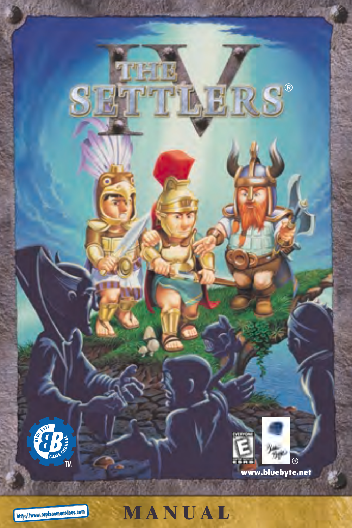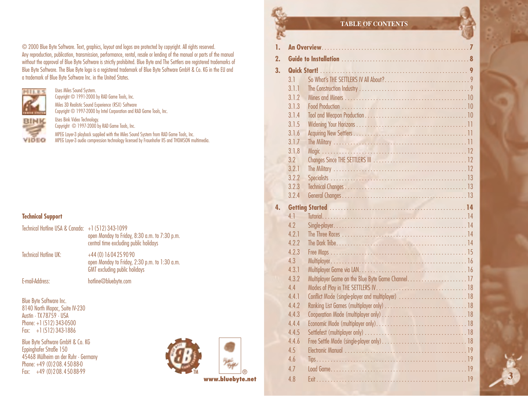© 2000 Blue Byte Software. Text, graphics, layout and logos are protected by copyright. All rights reserved. Any reproduction, publication, transmission, performance, rental, resale or lending of the manual or parts of the manual without the approval of Blue Byte Software is strictly prohibited. Blue Byte and The Settlers are registered trademarks of Blue Byte Software. The Blue Byte logo is a registered trademark of Blue Byte Software GmbH & Co. KG in the EU and a trademark of Blue Byte Software Inc. in the United States.



Copyright © 1991-2000 by RAD Game Tools, Inc. Miles 3D Realistic Sound Experience (RSX) Software Copyright © 1997-2000 by Intel Corporation and RAD Game Tools, Inc.

VIDEO

Uses Bink Video Technology. Copyright © 1997-2000 by RAD Game Tools, Inc.

Uses Miles Sound System.

MPEG Layer-3 playback supplied with the Miles Sound System from RAD Game Tools, Inc. MPEG Layer-3 audio compression technology licensed by Fraunhofer IIS and THOMSON multimedia.

### **Technical Support**

| Technical Hotline USA & Canada: $+1$ (512) 343-1099 | open Monday to Friday, 8:30 a.m. to 7:30 p.m.<br>central time excluding public holidays                         |
|-----------------------------------------------------|-----------------------------------------------------------------------------------------------------------------|
| <b>Technical Hotline UK:</b>                        | +44 (0) 16 04 25 90 90<br>open Monday to Friday, 2:30 p.m. to 1:30 a.m.<br><b>GMT</b> excluding public holidays |

E-mail-Address: hotline@bluebyte.com

Blue Byte Software Inc. 8140 North Mopac, Suite IV-230 Austin · TX 78759 · USA Phone: +1 (512) 343-0500 Fax: +1 (512) 343-1886

Blue Byte Software GmbH & Co. KG Eppinghofer Straße 150 45468 Mülheim an der Ruhr · Germany Phone: +49 (0) 208, 450 88-0 Fax: +49 (0)2 08. 450 88-99



**www.bluebyte.net**

### **TABLE OF CONTENTS**

| ▭  |       |                                                   |   |
|----|-------|---------------------------------------------------|---|
| 1. |       |                                                   |   |
| 2. |       |                                                   |   |
| 3. |       |                                                   |   |
|    | 3.1   |                                                   |   |
|    | 3.1.1 |                                                   |   |
|    | 3.1.2 |                                                   |   |
|    | 3.1.3 |                                                   |   |
|    | 3.1.4 |                                                   |   |
|    | 3.1.5 |                                                   |   |
|    | 3.1.6 |                                                   |   |
|    | 3.1.7 |                                                   |   |
|    | 3.1.8 |                                                   |   |
|    | 3.2   |                                                   |   |
|    | 3.21  |                                                   |   |
|    | 3.2.2 |                                                   |   |
|    | 3.2.3 |                                                   |   |
|    | 3.2.4 |                                                   |   |
|    |       |                                                   |   |
| 4. |       |                                                   |   |
|    | 4.1   |                                                   |   |
|    | 4.7   |                                                   |   |
|    | 4.2.1 |                                                   |   |
|    | 422   |                                                   |   |
|    | 4.2.3 |                                                   |   |
|    | 4.3   |                                                   |   |
|    | 4.3.1 |                                                   |   |
|    | 4.3.2 |                                                   |   |
|    | 4.4   |                                                   |   |
|    | 441   | Conflict Mode (single-player and multiplayer)  18 |   |
|    | 4.4.2 |                                                   |   |
|    | 4.4.3 |                                                   |   |
|    | 4.4.4 |                                                   |   |
|    | 4.4.5 |                                                   |   |
|    | 4.4.6 |                                                   |   |
|    | 4.5   |                                                   |   |
|    | 4.6   |                                                   |   |
|    | 4.7   |                                                   |   |
|    | 4.8   |                                                   | 3 |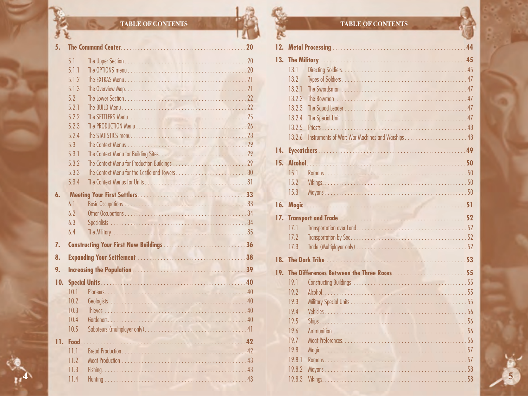## **TABLE OF CONTENTS**

罗里

| 5 <sub>1</sub> |                |  |
|----------------|----------------|--|
|                | 5.1            |  |
|                | 5.1.1          |  |
|                | 5.1.2          |  |
|                | 513            |  |
|                | 5.2            |  |
|                | 5.2.1          |  |
|                | 5.2.2          |  |
|                | 5.2.3          |  |
|                | 5.2.4          |  |
|                | 5.3            |  |
|                | 5.3.1<br>5.3.2 |  |
|                | 5.3.3          |  |
|                | 534            |  |
|                |                |  |
| 6.             |                |  |
|                | 6.1            |  |
|                | 6.7<br>6.3     |  |
|                | 6.4            |  |
|                |                |  |
| 7.             |                |  |
| 8.             |                |  |
| 9.             |                |  |
| 10.            |                |  |
|                | 10.1           |  |
|                | 10.2           |  |
|                | 10.3           |  |
|                | 10.4           |  |
|                | 10.5           |  |
|                | 11. Food       |  |
|                | 11.1           |  |
|                | 11.2           |  |
|                | 11.3           |  |
|                | 11.4           |  |
|                |                |  |

## **TABLE OF CONTENTS**

P.

|     | 13.1   |  |  |
|-----|--------|--|--|
|     | 13.2   |  |  |
|     | 13.21  |  |  |
|     | 13.2.2 |  |  |
|     | 13.2.3 |  |  |
|     | 13.2.4 |  |  |
|     | 13.2.5 |  |  |
|     | 13.2.6 |  |  |
|     |        |  |  |
|     |        |  |  |
|     | 15.1   |  |  |
|     | 15.2   |  |  |
|     | 15.3   |  |  |
|     |        |  |  |
| 16. |        |  |  |
|     |        |  |  |
|     | 17.1   |  |  |
|     | 17.2   |  |  |
|     | 17.3   |  |  |
|     |        |  |  |
|     |        |  |  |
|     | 19.1   |  |  |
|     | 19.2   |  |  |
|     | 19.3   |  |  |
|     | 19.4   |  |  |
|     | 19.5   |  |  |
|     | 19.6   |  |  |
|     | 19.7   |  |  |
|     | 19.8   |  |  |
|     | 19.8.1 |  |  |
|     | 19.8.2 |  |  |
|     | 19.8.3 |  |  |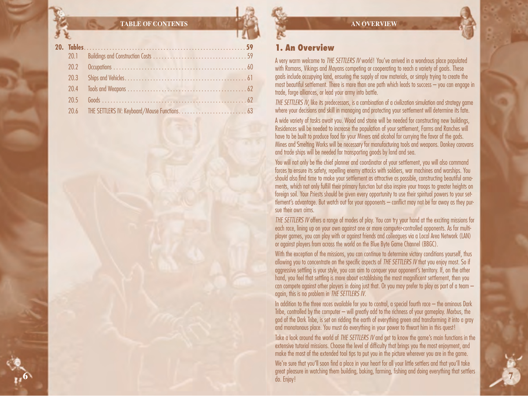### **TABLE OF CONTENTS**

**6**

## **1. An Overview**

A very warm welcome to *THE SETTLERS IV* world! You've arrived in a wondrous place populated with Romans, Vikings and Mayans competing or cooperating to reach a variety of goals. These goals include occupying land, ensuring the supply of raw materials, or simply trying to create the most beautiful settlement. There is more than one path which leads to success – you can engage in trade, forge alliances, or lead your army into battle.

*THE SETTLERS IV*, like its predecessors, is a combination of a civilization simulation and strategy game where your decisions and skill in managing and protecting your settlement will determine its fate.

A wide variety of tasks await you. Wood and stone will be needed for constructing new buildings, Residences will be needed to increase the population of your settlement, Farms and Ranches will have to be built to produce food for your Miners and alcohol for currying the favor of the gods. Mines and Smelting Works will be necessary for manufacturing tools and weapons. Donkey caravans and trade ships will be needed for transporting goods by land and sea.

You will not only be the chief planner and coordinator of your settlement, you will also command forces to ensure its safety, repelling enemy attacks with soldiers, war machines and warships. You should also find time to make your settlement as attractive as possible, constructing beautiful ornaments, which not only fulfill their primary function but also inspire your troops to greater heights on foreign soil. Your Priests should be given every opportunity to use their spiritual powers to your settlement's advantage. But watch out for your opponents – conflict may not be far away as they pursue their own aims.

*THE SETTLERS IV* offers a range of modes of play. You can try your hand at the exciting missions for each race, lining up on your own against one or more computer-controlled opponents. As for multiplayer games, you can play with or against friends and colleagues via a Local Area Network (LAN) or against players from across the world on the Blue Byte Game Channel (BBGC).

With the exception of the missions, you can continue to determine victory conditions yourself, thus allowing you to concentrate on the specific aspects of *THE SETTLERS IV* that you enjoy most. So if aggressive settling is your style, you can aim to conquer your opponent's territory. If, on the other hand, you feel that settling is more about establishing the most magnificent settlement, then you can compete against other players in doing just that. Or you may prefer to play as part of a team – again, this is no problem in *THE SETTLERS IV*.

In addition to the three races available for you to control, a special fourth race – the ominous Dark Tribe, controlled by the computer – will greatly add to the richness of your gameplay. Morbus, the god of the Dark Tribe, is set on ridding the earth of everything green and transforming it into a gray and monotonous place. You must do everything in your power to thwart him in this quest!

Take a look around the world of *THE SETTLERS IV* and get to know the game's main functions in the extensive tutorial missions. Choose the level of difficulty that brings you the most enjoyment, and make the most of the extended tool tips to put you in the picture wherever you are in the game. We're sure that you'll soon find a place in your heart for all your little settlers and that you'll take great pleasure in watching them building, baking, farming, fishing and doing everything that settlers do. Enjoy! **7**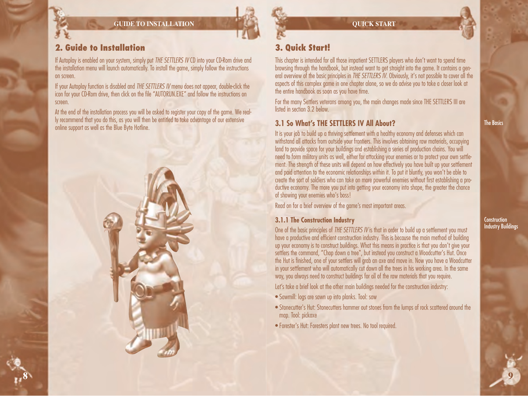**GUIDE TO INSTALLATION**



## **2. Guide to Installation**

**8**

If Autoplay is enabled on your system, simply put *THE SETTLERS IV* CD into your CD-Rom drive and the installation menu will launch automatically. To install the game, simply follow the instructions on screen.

If your Autoplay function is disabled and *THE SETTLERS IV* menu does not appear, double-click the icon for your CD-Rom drive, then click on the file "AUTORUN.EXE" and follow the instructions on screen.

At the end of the installation process you will be asked to register your copy of the game. We really recommend that you do this, as you will then be entitled to take advantage of our extensive online support as well as the Blue Byte Hotline.



## **3. Quick Start!**

This chapter is intended for all those impatient SETTLERS players who don't want to spend time browsing through the handbook, but instead want to get straight into the game. It contains a general overview of the basic principles in *THE SETTLERS IV*. Obviously, it's not possible to cover all the aspects of this complex game in one chapter alone, so we do advise you to take a closer look at the entire handbook as soon as you have time.

For the many Settlers veterans among you, the main changes made since THE SETTLERS III are listed in section 3.2 below.

## **3.1 So What's THE SETTLERS IV All About?**

It is your job to build up a thriving settlement with a healthy economy and defenses which can withstand all attacks from outside your frontiers. This involves obtaining raw materials, occupying land to provide space for your buildings and establishing a series of production chains. You will need to form military units as well, either for attacking your enemies or to protect your own settlement. The strength of these units will depend on how effectively you have built up your settlement and paid attention to the economic relationships within it. To put it bluntly, you won't be able to create the sort of soldiers who can take on more powerful enemies without first establishing a productive economy. The more you put into getting your economy into shape, the greater the chance of showing your enemies who's boss!

Read on for a brief overview of the game's most important areas.

## **3.1.1 The Construction Industry**

One of the basic principles of *THE SETTLERS IV* is that in order to build up a settlement you must have a productive and efficient construction industry. This is because the main method of building up your economy is to construct buildings. What this means in practice is that you don't give your settlers the command, "Chop down a tree", but instead you construct a Woodcutter's Hut. Once the Hut is finished, one of your settlers will grab an axe and move in. Now you have a Woodcutter in your settlement who will automatically cut down all the trees in his working area. In the same way, you always need to construct buildings for all of the raw materials that you require.

Let's take a brief look at the other main buildings needed for the construction industry:

- Sawmill: logs are sawn up into planks. Tool: saw
- Stonecutter's Hut: Stonecutters hammer out stones from the lumps of rock scattered around the map. Tool: pickaxe
- Forester's Hut: Foresters plant new trees. No tool required.

The Basics

**Construction Industry Buildings**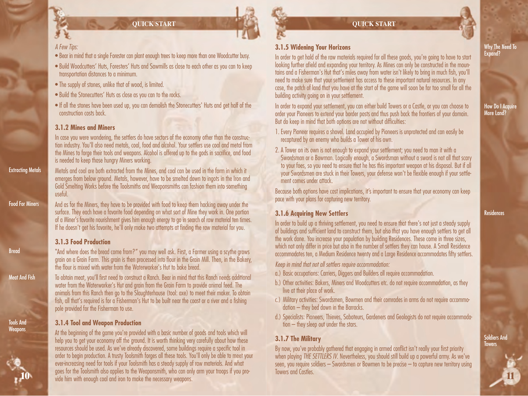## *A Few Tips:*

- Bear in mind that a single Forester can plant enough trees to keep more than one Woodcutter busy.
- Build Woodcutters' Huts, Foresters' Huts and Sawmills as close to each other as you can to keep transportation distances to a minimum.
- The supply of stones, unlike that of wood, is limited.
- Build the Stonecutters' Huts as close as you can to the rocks.
- If all the stones have been used up, you can demolish the Stonecutters' Huts and get half of the construction costs back.

## **3.1.2 Mines and Miners**

In case you were wondering, the settlers do have sectors of the economy other than the construction industry. You'll also need metals, coal, food and alcohol. Your settlers use coal and metal from the Mines to forge their tools and weapons. Alcohol is offered up to the gods in sacrifice, and food is needed to keep those hungry Miners working.

Metals and coal are both extracted from the Mines, and coal can be used in the form in which it emerges from below ground. Metals, however, have to be smelted down to ingots in the Iron and Gold Smelting Works before the Toolsmiths and Weaponsmiths can fashion them into something useful.

And as for the Miners, they have to be provided with food to keep them hacking away under the surface. They each have a favorite food depending on what sort of Mine they work in. One portion of a Miner's favorite nourishment gives him enough energy to go in search of raw material ten times. If he doesn't get his favorite, he'll only make two attempts at finding the raw material for you.

## **3.1.3 Food Production**

"And where does the bread come from?" you may well ask. First, a Farmer using a scythe grows grain on a Grain Farm. This grain is then processed into flour in the Grain Mill. Then, in the Bakery, the flour is mixed with water from the Waterworker's Hut to bake bread.

To obtain meat, you'll first need to construct a Ranch. Bear in mind that this Ranch needs additional water from the Waterworker's Hut and grain from the Grain Farm to provide animal feed. The animals from this Ranch then go to the Slaughterhouse (tool: axe) to meet their maker. To obtain fish, all that's required is for a Fisherman's Hut to be built near the coast or a river and a fishing pole provided for the Fisherman to use.

## **3.1.4 Tool and Weapon Production**

At the beginning of the game you're provided with a basic number of goods and tools which will help you to get your economy off the ground. It is worth thinking very carefully about how these resources should be used. As we've already discovered, some buildings require a specific tool in order to begin production. A trusty Toolsmith forges all these tools. You'll only be able to meet your ever-increasing need for tools if your Toolsmith has a steady supply of raw materials. And what goes for the Toolsmith also applies to the Weaponsmith, who can only arm your troops if you provide him with enough coal and iron to make the necessary weapons.

## **3.1.5 Widening Your Horizons**

In order to get hold of the raw materials required for all these goods, you're going to have to start looking further afield and expanding your territory. As Mines can only be constructed in the mountains and a Fisherman's Hut that's miles away from water isn't likely to bring in much fish, you'll need to make sure that your settlement has access to these important natural resources. In any case, the patch of land that you have at the start of the game will soon be far too small for all the building activity going on in your settlement.

In order to expand your settlement, you can either build Towers or a Castle, or you can choose to order your Pioneers to extend your border posts and thus push back the frontiers of your domain. But do keep in mind that both options are not without difficulties:

- 1. Every Pioneer requires a shovel. Land occupied by Pioneers is unprotected and can easily be recaptured by an enemy who builds a Tower of his own.
- 2. A Tower on its own is not enough to expand your settlement; you need to man it with a Swordsman or a Bowman. Logically enough, a Swordsman without a sword is not all that scary to your foes, so you need to ensure that he has this important weapon at his disposal. But if all your Swordsmen are stuck in their Towers, your defense won't be flexible enough if your settlement comes under attack.

Because both options have cost implications, it's important to ensure that your economy can keep pace with your plans for capturing new territory.

## **3.1.6 Acquiring New Settlers**

In order to build up a thriving settlement, you need to ensure that there's not just a steady supply of buildings and sufficient land to construct them, but also that you have enough settlers to get all the work done. You increase your population by building Residences. These come in three sizes, which not only differ in price but also in the number of settlers they can house. A Small Residence accommodates ten, a Medium Residence twenty and a Large Residence accommodates fifty settlers.

*Keep in mind that not all settlers require accommodation:*

- a.) Basic occupations: Carriers, Diggers and Builders all require accommodation.
- b.) Other activities: Bakers, Miners and Woodcutters etc. do not require accommodation, as they live at their place of work.
- c.) Military activities: Swordsmen, Bowmen and their comrades in arms do not require accommodation – they bed down in the Barracks.
- d.) Specialists: Pioneers, Thieves, Saboteurs, Gardeners and Geologists do not require accommodation – they sleep out under the stars.

## **3.1.7 The Military**

By now, you've probably gathered that engaging in armed conflict isn't really your first priority when playing *THE SETTLERS IV*. Nevertheless, you should still build up a powerful army. As we've seen, you require soldiers – Swordsmen or Bowmen to be precise – to capture new territory using Towers and Castles.

Residences

How Do I Acquire More Land?

> Soldiers And Towers



**11**

### Why The Need To Expand?

Food For Miners

Extracting Metals

**Bread** 

Meat And Fish

Tools And **Weapons**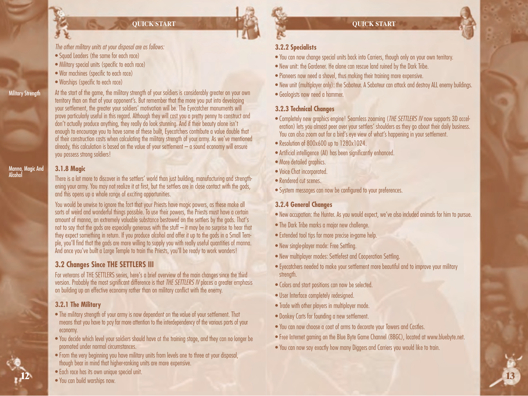- *The other military units at your disposal are as follows:*
- Squad Leaders (the same for each race)
- Military special units (specific to each race)
- War machines (specific to each race)
- Warships (specific to each race)

#### Military Strength

**Magic And** 

Alcohol

**12**

At the start of the game, the military strength of your soldiers is considerably greater on your own territory than on that of your opponent's. But remember that the more you put into developing your settlement, the greater your soldiers' motivation will be. The Eyecatcher monuments will prove particularly useful in this regard. Although they will cost you a pretty penny to construct and don't actually produce anything, they really do look stunning. And if their beauty alone isn't enough to encourage you to have some of these built, Eyecatchers contribute a value double that of their construction costs when calculating the military strength of your army. As we've mentioned already, this calculation is based on the value of your settlement  $-\hat{a}$  sound economy will ensure you possess strong soldiers!

## **3.1.8 Magic**

There is a lot more to discover in the settlers' world than just building, manufacturing and strengthening your army. You may not realize it at first, but the settlers are in close contact with the gods, and this opens up a whole range of exciting opportunities.

You would be unwise to ignore the fact that your Priests have magic powers, as these make all sorts of weird and wonderful things possible. To use their powers, the Priests must have a certain amount of manna, an extremely valuable substance bestowed on the settlers by the gods. That's not to say that the gods are especially generous with the stuff – it may be no surprise to hear that they expect something in return. If you produce alcohol and offer it up to the gods in a Small Temple, you'll find that the gods are more willing to supply you with really useful quantities of manna. And once you've built a Large Temple to train the Priests, you'll be ready to work wonders!

## **3.2 Changes Since THE SETTLERS III**

For veterans of THE SETTLERS series, here's a brief overview of the main changes since the third version. Probably the most significant difference is that *THE SETTLERS IV* places a greater emphasis on building up an effective economy rather than on military conflict with the enemy.

## **3.2.1 The Military**

- The military strength of your army is now dependent on the value of your settlement. That means that you have to pay far more attention to the interdependency of the various parts of your economy.
- You decide which level your soldiers should have at the training stage, and they can no longer be promoted under normal circumstances.
- From the very beginning you have military units from levels one to three at your disposal, though bear in mind that higher-ranking units are more expensive.
- Each race has its own unique special unit.
- You can build warships now.

## **3.2.2 Specialists**

- You can now change special units back into Carriers, though only on your own territory.
- New unit: the Gardener. He alone can rescue land ruined by the Dark Tribe.
- Pioneers now need a shovel, thus making their training more expensive.
- New unit (multiplayer only): the Saboteur. A Saboteur can attack and destroy ALL enemy buildings.
- Geologists now need a hammer.

## **3.2.3 Technical Changes**

- Completely new graphics engine! Seamless zooming (*THE SETTLERS IV* now supports 3D acceleration) lets you almost peer over your settlers' shoulders as they go about their daily business. You can also zoom out for a bird's eye view of what's happening in your settlement.
- Resolution of 800x600 up to 1280x1024.
- Artificial intelligence (AI) has been significantly enhanced.
- More detailed araphics.
- Voice Chat incorporated.
- Rendered cut scenes.
- System messages can now be configured to your preferences.

## **3.2.4 General Changes**

- New occupation: the Hunter. As you would expect, we've also included animals for him to pursue.
- The Dark Tribe marks a major new challenge.
- Extended tool tips for more precise in-game help.
- New single-player mode: Free Settling.
- New multiplayer modes: Settlefest and Cooperation Settling.
- Eyecatchers needed to make your settlement more beautiful and to improve your military strength.
- Colors and start positions can now be selected.
- User Interface completely redesigned.
- Trade with other players in multiplayer mode.
- Donkey Carts for founding a new settlement.
- You can now choose a coat of arms to decorate your Towers and Castles.
- Free Internet gaming on the Blue Byte Game Channel (BBGC), located at www.bluebyte.net.

**13**

• You can now say exactly how many Diggers and Carriers you would like to train.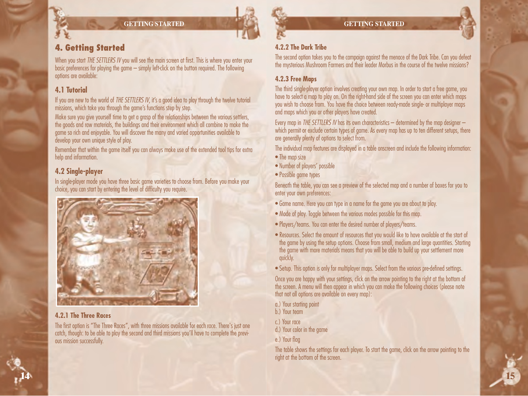**GETTING STARTED**

## **4. Getting Started**

When you start *THE SETTLERS IV* you will see the main screen at first. This is where you enter your basic preferences for playing the game – simply left-click on the button required. The following options are available:

## **4.1 Tutorial**

If you are new to the world of *THE SETTLERS IV*, it's a good idea to play through the twelve tutorial missions, which take you through the game's functions step by step.

Make sure you give yourself time to get a grasp of the relationships between the various settlers, the goods and raw materials, the buildings and their environment which all combine to make the game so rich and enjoyable. You will discover the many and varied opportunities available to develop your own unique style of play.

Remember that within the game itself you can always make use of the extended tool tips for extra help and information.

## **4.2 Single-player**

In single-player mode you have three basic game varieties to choose from. Before you make your choice, you can start by entering the level of difficulty you require.



## **4.2.1 The Three Races**

The first option is "The Three Races", with three missions available for each race. There's just one catch, though: to be able to play the second and third missions you'll have to complete the previous mission successfully.

## **4.2.2 The Dark Tribe**

The second option takes you to the campaign against the menace of the Dark Tribe. Can you defeat the mysterious Mushroom Farmers and their leader Morbus in the course of the twelve missions?

## **4.2.3 Free Maps**

The third single-player option involves creating your own map. In order to start a free game, you have to select a map to play on. On the right-hand side of the screen you can enter which maps you wish to choose from. You have the choice between ready-made single- or multiplayer maps and maps which you or other players have created.

Every map in *THE SETTLERS IV* has its own characteristics – determined by the map designer – which permit or exclude certain types of game. As every map has up to ten different setups, there are generally plenty of options to select from.

The individual map features are displayed in a table onscreen and include the following information:

- The map size
- Number of players' possible
- Possible game types

Beneath the table, you can see a preview of the selected map and a number of boxes for you to enter your own preferences:

- Game name. Here you can type in a name for the game you are about to play.
- Mode of play. Toggle between the various modes possible for this map.
- Players/teams. You can enter the desired number of players/teams.
- Resources. Select the amount of resources that you would like to have available at the start of the game by using the setup options. Choose from small, medium and large quantities. Starting the game with more materials means that you will be able to build up your settlement more quickly.

• Setup. This option is only for multiplayer maps. Select from the various pre-defined settings.

Once you are happy with your settings, click on the arrow pointing to the right at the bottom of the screen. A menu will then appear in which you can make the following choices (please note that not all options are available on every map):

- a.) Your starting point
- b.) Your team
- c.) Your race
- d.) Your color in the game
- e.) Your flag

The table shows the settings for each player. To start the game, click on the arrow pointing to the right at the bottom of the screen.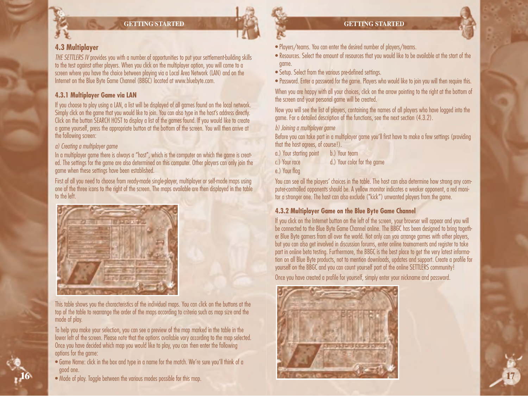### **GETTING STARTED**

## **4.3 Multiplayer**

*THE SETTLERS IV* provides you with a number of opportunities to put your settlement-building skills to the test against other players. When you click on the multiplayer option, you will come to a screen where you have the choice between playing via a Local Area Network (LAN) and on the Internet on the Blue Byte Game Channel (BBGC) located at www.bluebyte.com.

### **4.3.1 Multiplayer Game via LAN**

If you choose to play using a LAN, a list will be displayed of all games found on the local network. Simply click on the game that you would like to join. You can also type in the host's address directly. Click on the button SEARCH HOST to display a list of the games found. If you would like to create a game yourself, press the appropriate button at the bottom of the screen. You will then arrive at the following screen:

### *a) Creating a multiplayer game*

In a multiplayer game there is always a "host", which is the computer on which the game is created. The settings for the game are also determined on this computer. Other players can only join the game when these settings have been established.

First of all you need to choose from ready-made single-player, multiplayer or self-made maps using one of the three icons to the right of the screen. The maps available are then displayed in the table to the left.



This table shows you the characteristics of the individual maps. You can click on the buttons at the top of the table to rearrange the order of the maps according to criteria such as map size and the mode of play.

To help you make your selection, you can see a preview of the map marked in the table in the lower left of the screen. Please note that the options available vary according to the map selected. Once you have decided which map you would like to play, you can then enter the following options for the game:

- Game Name: click in the box and type in a name for the match. We're sure you'll think of a good one.
- Mode of play. Toggle between the various modes possible for this map.



- Players/teams. You can enter the desired number of players/teams.
- Resources. Select the amount of resources that you would like to be available at the start of the game.
- Setup. Select from the various pre-defined settings.
- Password. Enter a password for the game. Players who would like to join you will then require this.

When you are happy with all your choices, click on the arrow pointing to the right at the bottom of the screen and your personal game will be created.

Now you will see the list of players, containing the names of all players who have logged into the game. For a detailed description of the functions, see the next section (4.3.2).

### *b) Joining a multiplayer game*

Before you can take part in a multiplayer game you'll first have to make a few settings (providing that the host agrees, of course!).

a.) Your starting point b.) Your team c.) Your race d.) Your color for the game

e.) Your flag

You can see all the players' choices in the table. The host can also determine how strong any computer-controlled opponents should be. A yellow monitor indicates a weaker opponent, a red monitor a stronger one. The host can also exclude ("kick") unwanted players from the game.

## **4.3.2 Multiplayer Game on the Blue Byte Game Channel**

If you click on the Internet button on the left of the screen, your browser will appear and you will be connected to the Blue Byte Game Channel online. The BBGC has been designed to bring together Blue Byte gamers from all over the world. Not only can you arrange games with other players, but you can also get involved in discussion forums, enter online tournaments and register to take part in online beta testing. Furthermore, the BBGC is the best place to get the very latest information on all Blue Byte products, not to mention downloads, updates and support. Create a profile for yourself on the BBGC and you can count yourself part of the online SETTLERS community!

**17**

Once you have created a profile for yourself, simply enter your nickname and password.

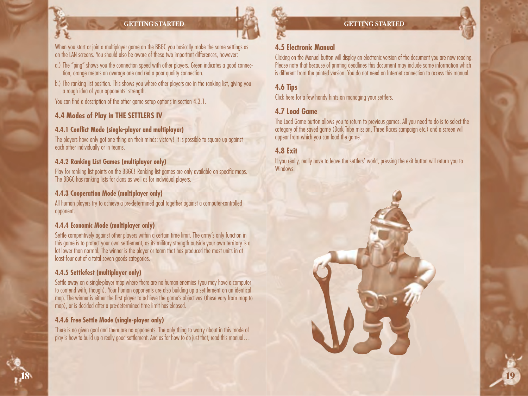## **GETTING STARTED**

When you start or join a multiplayer game on the BBGC you basically make the same settings as on the LAN screens. You should also be aware of these two important differences, however:

- a.) The "ping" shows you the connection speed with other players. Green indicates a good connection, orange means an average one and red a poor quality connection.
- b.) The ranking list position. This shows you where other players are in the ranking list, giving you a rough idea of your opponents' strength.

You can find a description of the other game setup options in section 4.3.1.

## **4.4 Modes of Play in THE SETTLERS IV**

## **4.4.1 Conflict Mode (single-player and multiplayer)**

The players have only got one thing on their minds: victory! It is possible to square up against each other individually or in teams.

## **4.4.2 Ranking List Games (multiplayer only)**

Play for ranking list points on the BBGC! Ranking list games are only available on specific maps. The BBGC has ranking lists for clans as well as for individual players.

## **4.4.3 Cooperation Mode (multiplayer only)**

All human players try to achieve a pre-determined goal together against a computer-controlled opponent.

## **4.4.4 Economic Mode (multiplayer only)**

Settle competitively against other players within a certain time limit. The army's only function in this game is to protect your own settlement, as its military strength outside your own territory is a lot lower than normal. The winner is the player or team that has produced the most units in at least four out of a total seven goods categories.

## **4.4.5 Settlefest (multiplayer only)**

Settle away on a single-player map where there are no human enemies (you may have a computer to contend with, though). Your human opponents are also building up a settlement on an identical map. The winner is either the first player to achieve the game's objectives (these vary from map to map), or is decided after a pre-determined time limit has elapsed.

## **4.4.6 Free Settle Mode (single-player only)**

There is no given goal and there are no opponents. The only thing to worry about in this mode of play is how to build up a really good settlement. And as for how to do just that, read this manual…



### **GETTING STARTED**

## **4.5 Electronic Manual**

Clicking on the Manual button will display an electronic version of the document you are now reading. Please note that because of printing deadlines this document may include some information which is different from the printed version. You do not need an Internet connection to access this manual.

## **4.6 Tips**

Click here for a few handy hints on managing your settlers.

## **4.7 Load Game**

The Load Game button allows you to return to previous games. All you need to do is to select the category of the saved game (Dark Tribe mission, Three Races campaign etc.) and a screen will appear from which you can load the game.

## **4.8 Exit**

If you really, really have to leave the settlers' world, pressing the exit button will return you to Windows.

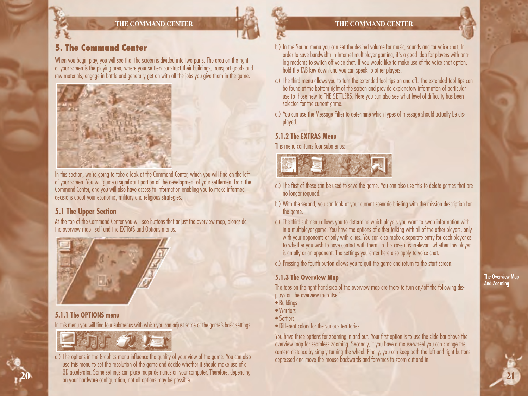## **5. The Command Center**

When you begin play, you will see that the screen is divided into two parts. The area on the right of your screen is the playing area, where your settlers construct their buildings, transport goods and raw materials, engage in battle and generally get on with all the jobs you give them in the game.



In this section, we're going to take a look at the Command Center, which you will find on the left of your screen. You will guide a significant portion of the development of your settlement from the Command Center, and you will also have access to information enabling you to make informed decisions about your economic, military and religious strategies.

### **5.1 The Upper Section**

At the top of the Command Center you will see buttons that adjust the overview map, alongside the overview map itself and the EXTRAS and Options menus.



#### **5.1.1 The OPTIONS menu**

In this menu you will find four submenus with which you can adjust some of the game's basic settings.



a.) The options in the Graphics menu influence the quality of your view of the game. You can also use this menu to set the resolution of the game and decide whether it should make use of a 3D accelerator. Some settings can place major demands on your computer. Therefore, depending on your hardware configuration, not all options may be possible. **20**

#### **THE COMMAND CENTER**

- b.) In the Sound menu you can set the desired volume for music, sounds and for voice chat. In order to save bandwidth in Internet multiplayer gaming, it's a good idea for players with analog modems to switch off voice chat. If you would like to make use of the voice chat option, hold the TAB key down and you can speak to other players.
- c.) The third menu allows you to turn the extended tool tips on and off. The extended tool tips can be found at the bottom right of the screen and provide explanatory information of particular use to those new to THE SETTLERS. Here you can also see what level of difficulty has been selected for the current game.
- d.) You can use the Message Filter to determine which types of message should actually be displayed.

#### **5.1.2 The EXTRAS Menu**

This menu contains four submenus:



- a.) The first of these can be used to save the game. You can also use this to delete games that are no longer required.
- b.) With the second, you can look at your current scenario briefing with the mission description for the game.
- c.) The third submenu allows you to determine which players you want to swap information with in a multiplayer game. You have the options of either talking with all of the other players, only with your opponents or only with allies. You can also make a separate entry for each player as to whether you wish to have contact with them. In this case it is irrelevant whether this player is an ally or an opponent. The settings you enter here also apply to voice chat.
- d.) Pressing the fourth button allows you to quit the game and return to the start screen.

#### **5.1.3 The Overview Map**

The tabs on the right hand side of the overview map are there to turn on/off the following displays on the overview map itself.

- Buildings
- Warriors
- Settlers
- Different colors for the various territories

You have three options for zooming in and out. Your first option is to use the slide bar above the overview map for seamless zooming. Secondly, if you have a mouse-wheel you can change the camera distance by simply turning the wheel. Finally, you can keep both the left and right buttons depressed and move the mouse backwards and forwards to zoom out and in.

The Overview Map And Zooming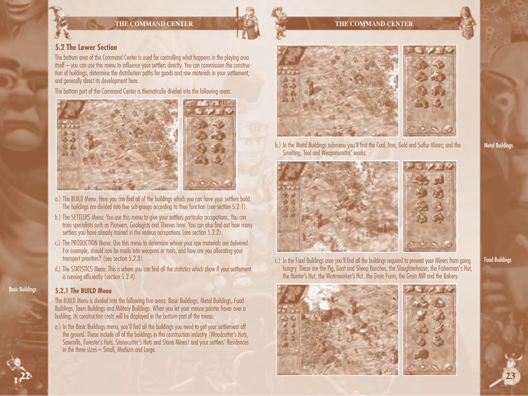**THE COMMAND CENTER**



The bottom area of the Command Center is used for controlling what happens in the playing area itself – you can use this menu to influence your settlers directly. You can commission the construction of buildings, determine the distribution paths for goods and raw materials in your settlement, and generally direct its development here.

The bottom part of the Command Center is thematically divided into the following areas:



- a.) The BUILD Menu. Here you can find all of the buildings which you can have your settlers build. The buildings are divided into five sub-groups according to their function (see section 5.2.1).
- b.) The SETTLERS Menu: You use this menu to give your settlers particular occupations. You can train specialists such as Pioneers, Geologists and Thieves here. You can also find out how many settlers you have already trained in the various occupations (see section 5.2.2).
- c.) The PRODUCTION Menu: Use this menu to determine where your raw materials are delivered. For example, should iron be made into weapons or tools, and how are you allocating your transport priorities? (see section 5.2.3).
- d.) The STATISTICS Menu. This is where you can find all the statistics which show if your settlement is running efficiently (section 5.2.4).

#### **5.2.1 The BUILD Menu**

Basic Buildings

**22**

The BUILD Menu is divided into the following five areas: Basic Buildings, Metal Buildings, Food Buildings, Town Buildings and Military Buildings. When you let your mouse pointer hover over a building, its construction costs will be displayed in the bottom part of the menu.

a.) In the Basic Buildings menu, you'll find all the buildings you need to get your settlement off the ground. These include all of the buildings in the construction industry (Woodcutter's Huts, Sawmills, Forester's Huts, Stonecutter's Huts and Stone Mines) and your settlers' Residences in the three sizes – Small, Medium and Large.



**THE COMMAND CENTER**

b.) In the Metal Buildings submenu you'll find the Coal, Iron, Gold and Sulfur Mines; and the Smelting, Tool and Weaponsmiths' works.





c.) In the Food Buildings area you'll find all the buildings required to prevent your Miners from going hungry. These are the Pig, Goat and Sheep Ranches, the Slaughterhouse, the Fisherman's Hut, the Hunter's Hut, the Waterworker's Hut, the Grain Farm, the Grain Mill and the Bakery.





Food Buildings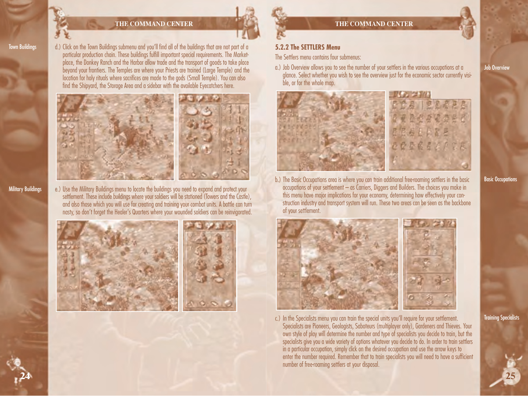Town Buildings

d.) Click on the Town Buildings submenu and you'll find all of the buildings that are not part of a particular production chain. These buildings fulfill important special requirements. The Marketplace, the Donkey Ranch and the Harbor allow trade and the transport of goods to take place beyond your frontiers. The Temples are where your Priests are trained (Large Temple) and the location for holy rituals where sacrifices are made to the gods (Small Temple). You can also find the Shipyard, the Storage Area and a sidebar with the available Eyecatchers here.



Military Buildings

**24**

e.) Use the Military Buildings menu to locate the buildings you need to expand and protect your settlement. These include buildings where your soldiers will be stationed (Towers and the Castle), and also those which you will use for creating and training your combat units. A battle can turn nasty, so don't forget the Healer's Quarters where your wounded soldiers can be reinvigorated.





### **5.2.2 The SETTLERS Menu**

The Settlers menu contains four submenus:

a.) Job Overview allows you to see the number of your settlers in the various occupations at a glance. Select whether you wish to see the overview just for the economic sector currently visible, or for the whole map.



b.) The Basic Occupations area is where you can train additional free-roaming settlers in the basic occupations of your settlement – as Carriers, Diggers and Builders. The choices you make in this menu have major implications for your economy, determining how effectively your construction industry and transport system will run. These two areas can be seen as the backbone of your settlement.

c.) In the Specialists menu you can train the special units you'll require for your settlement. Specialists are Pioneers, Geologists, Saboteurs (multiplayer only), Gardeners and Thieves. Your own style of play will determine the number and type of specialists you decide to train, but the specialists give you a wide variety of options whatever you decide to do. In order to train settlers in a particular occupation, simply click on the desired occupation and use the arrow keys to enter the number required. Remember that to train specialists you will need to have a sufficient number of free-roaming settlers at your disposal.

Basic Occupations

Job Overview

Training Specialists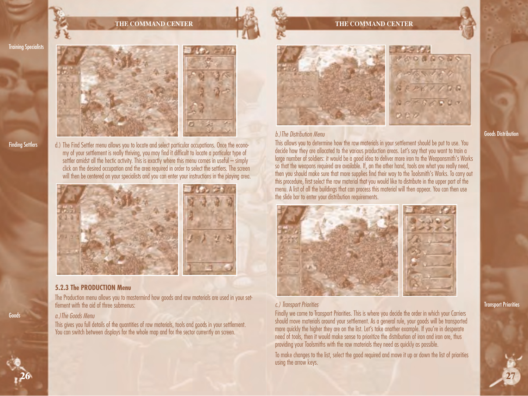



Finding Settlers

d.) The Find Settler menu allows you to locate and select particular occupations. Once the economy of your settlement is really thriving, you may find it difficult to locate a particular type of settler amidst all the hectic activity. This is exactly where this menu comes in useful – simply click on the desired occupation and the area required in order to select the settlers. The screen will then be centered on your specialists and you can enter your instructions in the playing area.





#### **5.2.3 The PRODUCTION Menu**

The Production menu allows you to mastermind how goods and raw materials are used in your settlement with the aid of three submenus:

#### *a.)The Goods Menu*

This gives you full details of the quantities of raw materials, tools and goods in your settlement. You can switch between displays for the whole map and for the sector currently on screen.

#### **THE COMMAND CENTER**



#### *b.)The Distribution Menu*

This allows you to determine how the raw materials in your settlement should be put to use. You decide how they are allocated to the various production areas. Let's say that you want to train a large number of soldiers: it would be a good idea to deliver more iron to the Weaponsmith's Works so that the weapons required are available. If, on the other hand, tools are what you really need, then you should make sure that more supplies find their way to the Toolsmith's Works. To carry out this procedure, first select the raw material that you would like to distribute in the upper part of the menu. A list of all the buildings that can process this material will then appear. You can then use the slide bar to enter your distribution requirements.



#### *c.) Transport Priorities*

Finally we come to Transport Priorities. This is where you decide the order in which your Carriers should move materials around your settlement. As a general rule, your goods will be transported more quickly the higher they are on the list. Let's take another example. If you're in desperate need of tools, then it would make sense to prioritize the distribution of iron and iron ore, thus providing your Toolsmiths with the raw materials they need as quickly as possible.

To make changes to the list, select the good required and move it up or down the list of priorities using the arrow keys.

#### Goods Distribution

Transport Priorities

**27**



Goods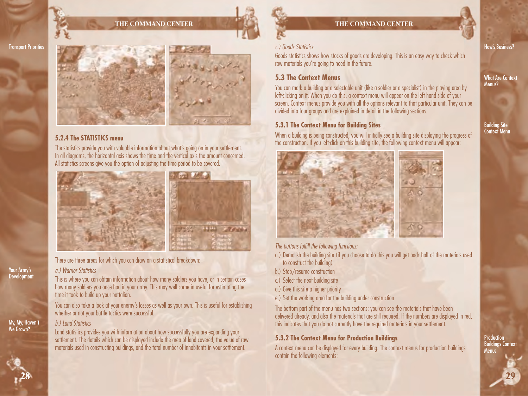The statistics provide you with valuable information about what's going on in your settlement. In all diagrams, the horizontal axis shows the time and the vertical axis the amount concerned. All statistics screens give you the option of adjusting the time period to be covered.



**HELL ATOMA** 



#### *c.) Goods Statistics*

Goods statistics shows how stocks of goods are developing. This is an easy way to check which raw materials you're going to need in the future.

## **5.3 The Context Menus**

You can mark a building or a selectable unit (like a soldier or a specialist) in the playing area by left-clicking on it. When you do this, a context menu will appear on the left hand side of your screen. Context menus provide you with all the options relevant to that particular unit. They can be divided into four groups and are explained in detail in the following sections.

### **5.3.1 The Context Menu for Building Sites**

When a building is being constructed, you will initially see a building site displaying the progress of the construction. If you left-click on this building site, the following context menu will appear:



*The buttons fulfill the following functions:* 

- a.) Demolish the building site (if you choose to do this you will get back half of the materials used to construct the building)
- b.) Stop/resume construction
- c.) Select the next building site
- d.) Give this site a higher priority
- e.) Set the working area for the building under construction

The bottom part of the menu has two sections: you can see the materials that have been delivered already, and also the materials that are still required. If the numbers are displayed in red, this indicates that you do not currently have the required materials in your settlement.

### **5.3.2 The Context Menu for Production Buildings**

A context menu can be displayed for every building. The context menus for production buildings contain the following elements:

How's Business?

What Are Context Menus?

Building Site Context Menu

Your Army's **Development** 

Transport Priorities

# *a.) Warrior Statistics*

**5.2.4 The STATISTICS menu**

This is where you can obtain information about how many soldiers you have, or in certain cases how many soldiers you once had in your army. This may well come in useful for estimating the time it took to build up your battalion.

There are three areas for which you can draw on a statistical breakdown:

You can also take a look at your enemy's losses as well as your own. This is useful for establishing whether or not your battle tactics were successful.

#### *b.) Land Statistics*

Land statistics provides you with information about how successfully you are expanding your settlement. The details which can be displayed include the area of land covered, the value of raw materials used in constructing buildings, and the total number of inhabitants in your settlement.

My, My, Haven't

We Grown?



**29**

**Production** Buildings Context Menus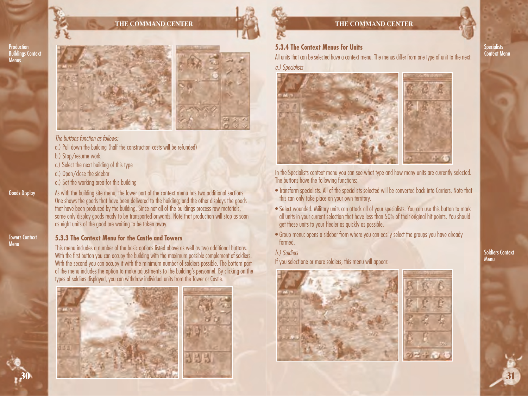

Goods Display

Towers Context Menu

**30**





*The buttons function as follows:*

- a.) Pull down the building (half the construction costs will be refunded)
- b.) Stop/resume work
- c.) Select the next building of this type
- d.) Open/close the sidebar
- e.) Set the working area for this building

As with the building site menu, the lower part of the context menu has two additional sections. One shows the goods that have been delivered to the building; and the other displays the goods that have been produced by the building. Since not all of the buildings process raw materials, some only display goods ready to be transported onwards. Note that production will stop as soon as eight units of the good are waiting to be taken away.

#### **5.3.3 The Context Menu for the Castle and Towers**

This menu includes a number of the basic options listed above as well as two additional buttons. With the first button you can occupy the building with the maximum possible complement of soldiers. With the second you can occupy it with the minimum number of soldiers possible. The bottom part of the menu includes the option to make adjustments to the building's personnel. By clicking on the types of soldiers displayed, you can withdraw individual units from the Tower or Castle.







### **5.3.4 The Context Menus for Units**

All units that can be selected have a context menu. The menus differ from one type of unit to the next:

*a.) Specialists*



In the Specialists context menu you can see what type and how many units are currently selected. The buttons have the following functions:

- Transform specialists. All of the specialists selected will be converted back into Carriers. Note that this can only take place on your own territory.
- Select wounded. Military units can attack all of your specialists. You can use this button to mark all units in your current selection that have less than 50% of their original hit points. You should get these units to your Healer as quickly as possible.
- Group menu: opens a sidebar from where you can easily select the groups you have already formed.
- *b.) Soldiers*

If you select one or more soldiers, this menu will appear:



Soldiers Context Menu

Specialists Context Menu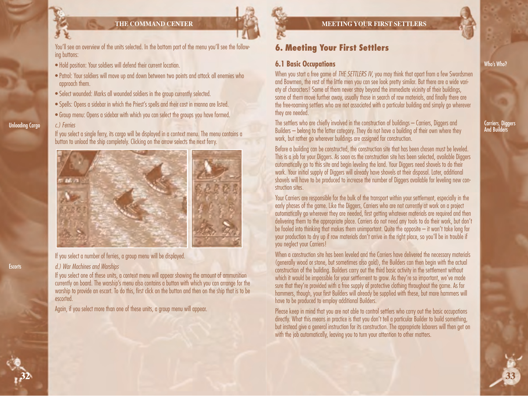

You'll see an overview of the units selected. In the bottom part of the menu you'll see the following buttons:

- Hold position: Your soldiers will defend their current location.
- Patrol: Your soldiers will move up and down between two points and attack all enemies who approach them.
- Select wounded: Marks all wounded soldiers in the group currently selected.
- Spells: Opens a sidebar in which the Priest's spells and their cost in manna are listed.
- Group menu: Opens a sidebar with which you can select the groups you have formed.

#### *c.) Ferries* Unloading Cargo

If you select a single ferry, its cargo will be displayed in a context menu. The menu contains a button to unload the ship completely. Clicking on the arrow selects the next ferry.



If you select a number of ferries, a group menu will be displayed.

#### *d.) War Machines and Warships*

If you select one of these units, a context menu will appear showing the amount of ammunition currently on board. The warship's menu also contains a button with which you can arrange for the warship to provide an escort. To do this, first click on the button and then on the ship that is to be escorted.

Again, if you select more than one of these units, a group menu will appear.

### **MEETING YOUR FIRST SETTLERS**

## **6. Meeting Your First Settlers**

## **6.1 Basic Occupations**

When you start a free game of *THE SETTLERS IV*, you may think that apart from a few Swordsmen and Bowmen, the rest of the little men you can see look pretty similar. But there are a wide variety of characters! Some of them never stray beyond the immediate vicinity of their buildings, some of them move further away, usually those in search of raw materials, and finally there are the free-roaming settlers who are not associated with a particular building and simply go wherever they are needed.

The settlers who are chiefly involved in the construction of buildings – Carriers, Diggers and Builders – belong to the latter category. They do not have a building of their own where they work, but rather go wherever buildings are assigned for construction.

Before a building can be constructed, the construction site that has been chosen must be leveled. This is a job for your Diggers. As soon as the construction site has been selected, available Diggers automatically go to this site and begin leveling the land. Your Diggers need shovels to do their work. Your initial supply of Diggers will already have shovels at their disposal. Later, additional shovels will have to be produced to increase the number of Diggers available for leveling new construction sites.

Your Carriers are responsible for the bulk of the transport within your settlement, especially in the early phases of the game. Like the Diggers, Carriers who are not currently at work on a project automatically go wherever they are needed, first getting whatever materials are required and then delivering them to the appropriate place. Carriers do not need any tools to do their work, but don't be fooled into thinking that makes them unimportant. Quite the opposite – it won't take long for your production to dry up if raw materials don't arrive in the right place, so you'll be in trouble if you neglect your Carriers!

When a construction site has been leveled and the Carriers have delivered the necessary materials (generally wood or stone, but sometimes also gold), the Builders can then begin with the actual construction of the building. Builders carry out the third basic activity in the settlement without which it would be impossible for your settlement to grow. As they're so important, we've made sure that they're provided with a free supply of protective clothing throughout the game. As for hammers, though, your first Builders will already be supplied with these, but more hammers will have to be produced to employ additional Builders.

Please keep in mind that you are not able to control settlers who carry out the basic occupations directly. What this means in practice is that you don't tell a particular Builder to build something, but instead give a general instruction for its construction. The appropriate laborers will then get on with the job automatically, leaving you to turn your attention to other matters.

#### Who's Who?

Carriers, Diggers And Builders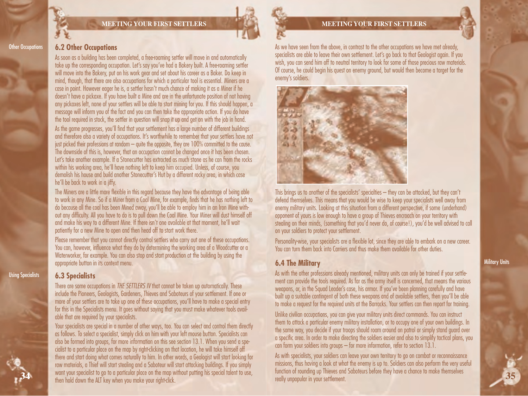

#### **MEETING YOUR FIRST SETTLERS**

As we have seen from the above, in contrast to the other occupations we have met already, specialists are able to leave their own settlement. Let's go back to that Geologist again. If you wish, you can send him off to neutral territory to look for some of those precious raw materials. Of course, he could begin his quest on enemy ground, but would then become a target for the enemy's soldiers.



This brings us to another of the specialists' specialties – they can be attacked, but they can't defend themselves. This means that you would be wise to keep your specialists well away from enemy military units. Looking at this situation from a different perspective, if some (underhand) opponent of yours is low enough to have a group of Thieves encroach on your territory with stealing on their minds, (something that you'd never do, of course!), you'd be well advised to call on your soldiers to protect your settlement.

Personality-wise, your specialists are a flexible lot, since they are able to embark on a new career. You can turn them back into Carriers and thus make them available for other duties.

## **6.4 The Military**

As with the other professions already mentioned, military units can only be trained if your settlement can provide the tools required. As far as the army itself is concerned, that means the various weapons, or, in the Squad Leader's case, his armor. If you've been planning carefully and have built up a suitable contingent of both these weapons and of available settlers, then you'll be able to make a request for the required units at the Barracks. Your settlers can then report for training.

Unlike civilian occupations, you can give your military units direct commands. You can instruct them to attack a particular enemy military installation, or to occupy one of your own buildings. In the same way, you decide if your troops should roam around on patrol or simply stand guard over a specific area. In order to make directing the soldiers easier and also to simplify tactical plans, you can form your soldiers into groups – for more information, refer to section 13.1.

As with specialists, your soldiers can leave your own territory to go on combat or reconnaissance missions, thus having a look at what the enemy is up to. Soldiers can also perform the very useful function of rounding up Thieves and Saboteurs before they have a chance to make themselves really unpopular in your settlement.

#### **Other Occupations**

## **6.2 Other Occupations**

As soon as a building has been completed, a free-roaming settler will move in and automatically take up the corresponding occupation. Let's say you've had a Bakery built. A free-roaming settler will move into the Bakery, put on his work gear and set about his career as a Baker. Do keep in mind, though, that there are also occupations for which a particular tool is essential. Miners are a case in point. However eager he is, a settler hasn't much chance of making it as a Miner if he doesn't have a pickaxe. If you have built a Mine and are in the unfortunate position of not having any pickaxes left, none of your settlers will be able to start mining for you. If this should happen, a message will inform you of the fact and you can then take the appropriate action. If you do have the tool required in stock, the settler in question will snap it up and get on with the job in hand.

As the game progresses, you'll find that your settlement has a large number of different buildings and therefore also a variety of occupations. It's worthwhile to remember that your settlers have not just picked their professions at random – quite the opposite, they are 100% committed to the cause. The downside of this is, however, that an occupation cannot be changed once it has been chosen. Let's take another example. If a Stonecutter has extracted as much stone as he can from the rocks within his working area, he'll have nothing left to keep him occupied. Unless, of course, you demolish his house and build another Stonecutter's Hut by a different rocky area, in which case he'll be back to work in a jiffy.

The Miners are a little more flexible in this regard because they have the advantage of being able to work in any Mine. So if a Miner from a Coal Mine, for example, finds that he has nothing left to do because all the coal has been Mined away, you'll be able to employ him in an Iron Mine without any difficulty. All you have to do is to pull down the Coal Mine. Your Miner will dust himself off and make his way to a different Mine. If there isn't one available at that moment, he'll wait patiently for a new Mine to open and then head off to start work there.

Please remember that you cannot directly control settlers who carry out one of these occupations. You can, however, influence what they do by determining the working area of a Woodcutter or a Waterworker, for example. You can also stop and start production at the building by using the appropriate button in its context menu.

#### **6.3 Specialists**

Using Specialists

**34**

There are some occupations in *THE SETTLERS IV* that cannot be taken up automatically. These include the Pioneers, Geologists, Gardeners, Thieves and Saboteurs of your settlement. If one or more of your settlers are to take up one of these occupations, you'll have to make a special entry for this in the Specialists menu. It goes without saying that you must make whatever tools available that are required by your specialists.

Your specialists are special in a number of other ways, too. You can select and control them directly as follows. To select a specialist, simply click on him with your left mouse button. Specialists can also be formed into groups, for more information on this see section 13.1. When you send a specialist to a particular place on the map by right-clicking on that location, he will take himself off there and start doing what comes naturally to him. In other words, a Geologist will start looking for raw materials, a Thief will start stealing and a Saboteur will start attacking buildings. If you simply want your specialist to go to a particular place on the map without putting his special talent to use, then hold down the ALT key when you make your right-click.

Military Units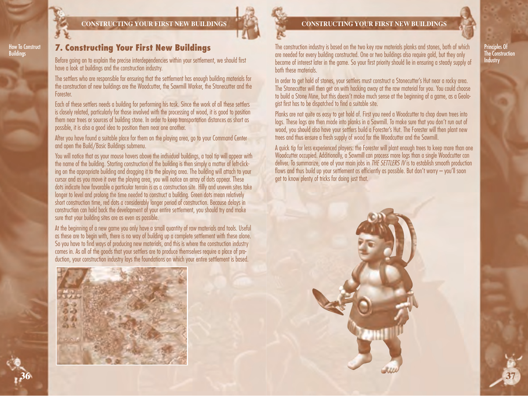

How To Construct **Buildings** 

**CONSTRUCTING YOUR FIRST NEW BUILDINGS**

## **7. Constructing Your First New Buildings**

Before going on to explain the precise interdependencies within your settlement, we should first have a look at buildings and the construction industry.

The settlers who are responsible for ensuring that the settlement has enough building materials for the construction of new buildings are the Woodcutter, the Sawmill Worker, the Stonecutter and the Forester.

Each of these settlers needs a building for performing his task. Since the work of all these settlers is closely related, particularly for those involved with the processing of wood, it is good to position them near trees or sources of building stone. In order to keep transportation distances as short as possible, it is also a good idea to position them near one another.

After you have found a suitable place for them on the playing area, go to your Command Center and open the Build/Basic Buildings submenu.

You will notice that as your mouse hovers above the individual buildings, a tool tip will appear with the name of the building. Starting construction of the building is then simply a matter of left-clicking on the appropriate building and dragging it to the playing area. The building will attach to your cursor and as you move it over the playing area, you will notice an array of dots appear. These dots indicate how favorable a particular terrain is as a construction site. Hilly and uneven sites take longer to level and prolong the time needed to construct a building. Green dots mean relatively short construction time, red dots a considerably longer period of construction. Because delays in construction can hold back the development of your entire settlement, you should try and make sure that your building sites are as even as possible.

At the beginning of a new game you only have a small quantity of raw materials and tools. Useful as these are to begin with, there is no way of building up a complete settlement with these alone. So you have to find ways of producing new materials, and this is where the construction industry comes in. As all of the goods that your settlers are to produce themselves require a place of production, your construction industry lays the foundations on which your entire settlement is based.



### **CONSTRUCTING YOUR FIRST NEW BUILDINGS**



The construction industry is based on the two key raw materials planks and stones, both of which are needed for every building constructed. One or two buildings also require gold, but they only become of interest later in the game. So your first priority should lie in ensuring a steady supply of both these materials.

In order to get hold of stones, your settlers must construct a Stonecutter's Hut near a rocky area. The Stonecutter will then get on with hacking away at the raw material for you. You could choose to build a Stone Mine, but this doesn't make much sense at the beginning of a game, as a Geologist first has to be dispatched to find a suitable site.

Planks are not quite as easy to get hold of. First you need a Woodcutter to chop down trees into logs. These logs are then made into planks in a Sawmill. To make sure that you don't run out of wood, you should also have your settlers build a Forester's Hut. The Forester will then plant new trees and thus ensure a fresh supply of wood for the Woodcutter and the Sawmill.

A quick tip for less experienced players: the Forester will plant enough trees to keep more than one Woodcutter occupied. Additionally, a Sawmill can process more logs than a single Woodcutter can deliver. To summarize, one of your main jobs in *THE SETTLERS IV* is to establish smooth production flows and thus build up your settlement as efficiently as possible. But don't worry – you'll soon get to know plenty of tricks for doing just that.



Principles Of The Construction **Industry**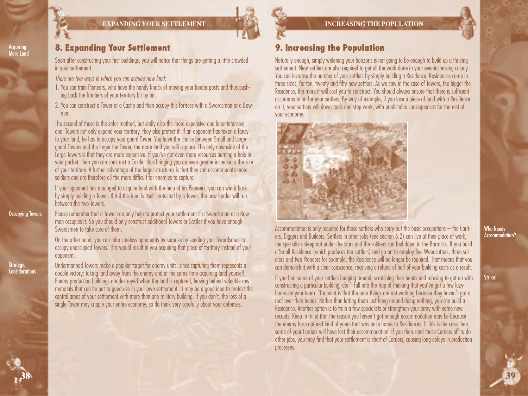

#### **EXPANDING YOUR SETTLEMENT**



#### **INCREASING THE POPULATION**

## **9. Increasing the Population**

Naturally enough, simply widening your horizons is not going to be enough to build up a thriving settlement. New settlers are also required to get all the work done in your ever-increasing colony. You can increase the number of your settlers by simply building a Residence. Residences come in three sizes, for ten, twenty and fifty new settlers. As we saw in the case of Towers, the bigger the Residence, the more it will cost you to construct. You should always ensure that there is sufficient accommodation for your settlers. By way of example, if you lose a piece of land with a Residence on it, your settlers will down tools and stop work, with predictable consequences for the rest of your economy.



Accommodation is only required for those settlers who carry out the basic occupations – the Carriers, Diggers and Builders. Settlers in other jobs (see section 6.2) can live at their place of work, the specialists sleep out under the stars and the soldiers can bed down in the Barracks. If you build a Small Residence (which produces ten settlers) and go on to employ five Woodcutters, three soldiers and two Pioneers for example, the Residence will no longer be required. That means that you can demolish it with a clear conscience, receiving a refund of half of your building costs as a result.

If you find some of your settlers hanging around, scratching their heads and refusing to get on with constructing a particular building, don't fall into the trap of thinking that you've got a few lazybones on your team. The point is that the poor things are not working because they haven't got a roof over their heads. Rather than letting them just hang around doing nothing, you can build a Residence. Another option is to train a few specialists or strengthen your army with some new recruits. Keep in mind that the reason you haven't got enough accommodation may be because the enemy has captured land of yours that was once home to Residences. If this is the case then some of your Carriers will have lost their accommodation. If you then send these Carriers off to do other jobs, you may find that your settlement is short of Carriers, causing long delays in production processes.

Who Needs Accommodation?

Acquiring More Land

## **8. Expanding Your Settlement**

Soon after constructing your first buildings, you will notice that things are getting a little crowded in your settlement.

*There are two ways in which you can acquire new land:*

- 1. You can train Pioneers, who have the handy knack of moving your border posts and thus pushing back the frontiers of your territory bit by bit.
- 2. You can construct a Tower or a Castle and then occupy this fortress with a Swordsman or a Bowman.

The second of these is the safer method, but sadly also the more expensive and labor-intensive one. Towers not only expand your territory, they also protect it. If an opponent has taken a fancy to your land, he has to occupy your guard Tower. You have the choice between Small and Large guard Towers and the larger the Tower, the more land you will capture. The only downside of the Large Towers is that they are more expensive. If you've got even more resources burning a hole in your pocket, then you can construct a Castle, thus bringing you an even greater increase in the size of your territory. A further advantage of the larger structures is that they can accommodate more soldiers and are therefore all the more difficult for enemies to capture.

If your opponent has managed to acquire land with the help of his Pioneers, you can win it back by simply building a Tower. But if this land is itself protected by a Tower, the new border will run between the two Towers.

Please remember that a Tower can only help to protect your settlement if a Swordsman or a Bowman occupies it. So you should only construct additional Towers or Castles if you have enough Swordsmen to take care of them.

On the other hand, you can take careless opponents by surprise by sending your Swordsmen to occupy unoccupied Towers. This would result in you acquiring that piece of territory instead of your opponent.

Undermanned Towers make a popular target for enemy units, since capturing them represents a double victory; taking land away from the enemy and at the same time acquiring land yourself. Enemy production buildings are destroyed when the land is captured, leaving behind valuable raw materials that can be put to good use in your own settlement. It may be a good idea to protect the central areas of your settlement with more than one military building. If you don't, the loss of a single Tower may cripple your entire economy, so do think very carefully about your defenses.

**38**

**Strategio** Considerations

Occupying Towers

Strike!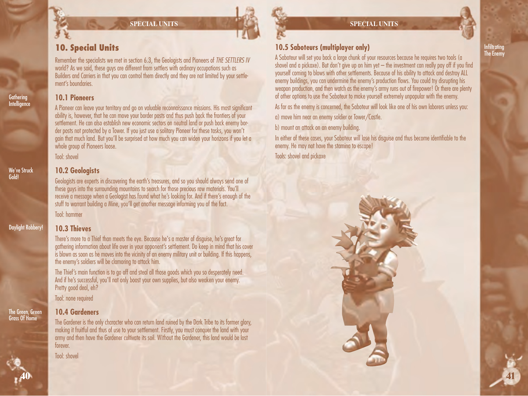#### **SPECIAL UNITS**

## **10. Special Units**

Remember the specialists we met in section 6.3, the Geologists and Pioneers of *THE SETTLERS IV* world? As we said, these guys are different from settlers with ordinary occupations such as Builders and Carriers in that you can control them directly and they are not limited by your settlement's boundaries.

#### **10.1 Pioneers**

A Pioneer can leave your territory and go on valuable reconnaissance missions. His most significant ability is, however, that he can move your border posts and thus push back the frontiers of your settlement. He can also establish new economic sectors on neutral land or push back enemy border posts not protected by a Tower. If you just use a solitary Pioneer for these tasks, you won't gain that much land. But you'll be surprised at how much you can widen your horizons if you let a whole group of Pioneers loose.

Tool: shovel

## **10.2 Geologists**

Geologists are experts in discovering the earth's treasures, and so you should always send one of these guys into the surrounding mountains to search for those precious raw materials. You'll receive a message when a Geologist has found what he's looking for. And if there's enough of the stuff to warrant building a Mine, you'll get another message informing you of the fact.

Tool: hammer

### **10.3 Thieves**

There's more to a Thief than meets the eye. Because he's a master of disguise, he's great for gathering information about life over in your opponent's settlement. Do keep in mind that his cover is blown as soon as he moves into the vicinity of an enemy military unit or building. If this happens, the enemy's soldiers will be clamoring to attack him.

The Thief's main function is to go off and steal all those goods which you so desperately need. And if he's successful, you'll not only boost your own supplies, but also weaken your enemy. Pretty good deal, eh?

Tool: none required

#### The Green, Green Grass Of Home

## **10.4 Gardeners**

The Gardener is the only character who can return land ruined by the Dark Tribe to its former glory, making it fruitful and thus of use to your settlement. Firstly, you must conquer the land with your army and then have the Gardener cultivate its soil. Without the Gardener, this land would be lost forever.

Tool: shovel



## **10.5 Saboteurs (multiplayer only)**

A Saboteur will set you back a large chunk of your resources because he requires two tools (a shovel and a pickaxe). But don't give up on him yet  $-$  the investment can really pay off if you find yourself coming to blows with other settlements. Because of his ability to attack and destroy ALL enemy buildings, you can undermine the enemy's production flows. You could try disrupting his weapon production, and then watch as the enemy's army runs out of firepower! Or there are plenty of other options to use the Saboteur to make yourself extremely unpopular with the enemy. As far as the enemy is concerned, the Saboteur will look like one of his own laborers unless you:

a) move him near an enemy soldier or Tower/Castle.

b) mount an attack on an enemy building.

In either of these cases, your Saboteur will lose his disguise and thus become identifiable to the enemy. He may not have the stamina to escape! Tools: shovel and pickaxe



Infiltrating The Enemy

# Daylight Robbery!

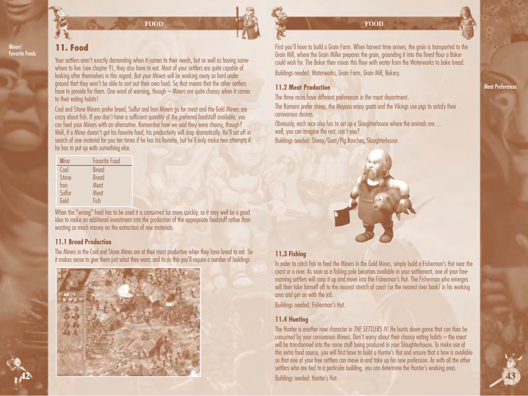

Miners' Favorite Foods

**42**

## **11. Food**

Your settlers aren't exactly demanding when it comes to their needs, but as well as having somewhere to live (see chapter 9), they also have to eat. Most of your settlers are quite capable of looking after themselves in this regard. But your Miners will be working away so hard under ground that they won't be able to sort out their own food. So that means that the other settlers have to provide for them. One word of warning, though – Miners are quite choosy when it comes to their eating habits!

**FOOD**

Coal and Stone Miners prefer bread, Sulfur and Iron Miners go for meat and the Gold Miners are crazy about fish. If you don't have a sufficient quantity of the preferred foodstuff available, you can feed your Miners with an alternative. Remember how we said they were choosy, though? Well, if a Miner doesn't get his favorite food, his productivity will drop dramatically. He'll set off in search of raw material for you ten times if he has his favorite, but he'll only make two attempts if he has to put up with something else.

| <b>Mine</b>  | <b>Favorite Food</b> |
|--------------|----------------------|
| Coal         | <b>Bread</b>         |
| <b>Stone</b> | <b>Bread</b>         |
| Iron         | Meat                 |
| Sulfur       | Meat                 |
| Gold         | Fish                 |

When the "wrong" food has to be used it is consumed far more quickly, so it may well be a good idea to make an additional investment into the production of the appropriate foodstuff rather than wasting so much money on the extraction of raw materials.

#### **11.1 Bread Production**

The Miners in the Coal and Stone Mines are at their most productive when they have bread to eat. So it makes sense to give them just what they want, and to do this you'll require a number of buildings.



#### **FOOD**

First you'll have to build a Grain Farm. When harvest time arrives, the grain is transported to the Grain Mill, where the Grain Miller prepares the grain, grounding it into the finest flour a Baker could wish for. The Baker then mixes this flour with water from the Waterworks to bake bread. Buildings needed: Waterworks, Grain Farm, Grain Mill, Bakery.

#### **11.2 Meat Production**

The three races have different preferences in the meat department.

The Romans prefer sheep, the Mayans enjoy goats and the Vikings use pigs to satisfy their carnivorous desires.

Obviously, each race also has to set up a Slaughterhouse where the animals are… well, you can imagine the rest, can't you? Buildings needed: Sheep/Goat/Pig Ranches, Slaughterhouse.



### **11.3 Fishing**

In order to catch fish to feed the Miners in the Gold Mines, simply build a Fisherman's Hut near the coast or a river. As soon as a fishing pole becomes available in your settlement, one of your freeroaming settlers will snap it up and move into the Fisherman's Hut. The Fisherman who emerges will then take himself off to the nearest stretch of coast (or the nearest river bank) in his working area and get on with the job.

Buildings needed: Fisherman's Hut.

### **11.4 Hunting**

The Hunter is another new character in *THE SETTLERS IV*. He hunts down game that can then be consumed by your carnivorous Miners. Don't worry about their choosy eating habits – the meat will be transformed into the same stuff being produced in your Slaughterhouse. To make use of this extra food source, you will first have to build a Hunter's Hut and ensure that a bow is available so that one of your free settlers can move in and take up his new profession. As with all the other settlers who are tied to a particular building, you can determine the Hunter's working area.

Buildings needed: Hunter's Hut **43**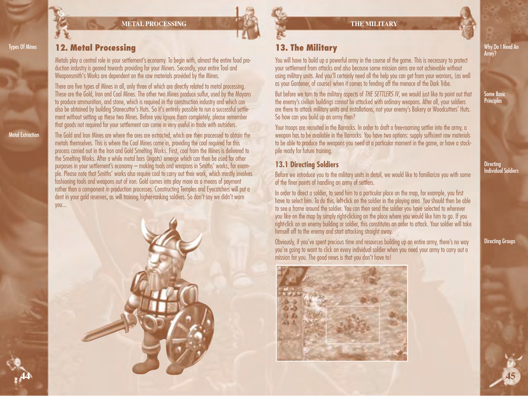



Metal Extraction

**44**

## **12. Metal Processing**

Metals play a central role in your settlement's economy. To begin with, almost the entire food production industry is geared towards providing for your Miners. Secondly, your entire Tool and Weaponsmith's Works are dependent on the raw materials provided by the Mines.

There are five types of Mines in all, only three of which are directly related to metal processing. These are the Gold, Iron and Coal Mines. The other two Mines produce sulfur, used by the Mayans to produce ammunition, and stone, which is required in the construction industry and which can also be obtained by building Stonecutter's Huts. So it's entirely possible to run a successful settlement without setting up these two Mines. Before you ignore them completely, please remember that goods not required for your settlement can come in very useful in trade with outsiders.

The Gold and Iron Mines are where the ores are extracted, which are then processed to obtain the metals themselves. This is where the Coal Mines come in, providing the coal required for this process carried out in the Iron and Gold Smelting Works. First, coal from the Mines is delivered to the Smelting Works. After a while metal bars (ingots) emerge which can then be used for other purposes in your settlement's economy – making tools and weapons in Smiths' works, for example. Please note that Smiths' works also require coal to carry out their work, which mostly involves fashioning tools and weapons out of iron. Gold comes into play more as a means of payment rather than a component in production processes. Constructing Temples and Eyecatchers will put a dent in your gold reserves, as will training higher-ranking soldiers. So don't say we didn't warn you...





## **13. The Military**

You will have to build up a powerful army in the course of the game. This is necessary to protect your settlement from attacks and also because some mission aims are not achievable without using military units. And you'll certainly need all the help you can get from your warriors, (as well as your Gardener, of course) when it comes to fending off the menace of the Dark Tribe.

But before we turn to the military aspects of *THE SETTLERS IV*, we would just like to point out that the enemy's civilian buildings cannot be attacked with ordinary weapons. After all, your soldiers are there to attack military units and installations, not your enemy's Bakery or Woodcutters' Huts. So how can you build up an army then?

Your troops are recruited in the Barracks. In order to draft a free-roaming settler into the army, a weapon has to be available in the Barracks. You have two options: supply sufficient raw materials to be able to produce the weapons you need at a particular moment in the game, or have a stockpile ready for future training.

## **13.1 Directing Soldiers**

Before we introduce you to the military units in detail, we would like to familiarize you with some of the finer points of handling an army of settlers.

In order to direct a soldier, to send him to a particular place on the map, for example, you first have to select him. To do this, left-click on the soldier in the playing area. You should then be able to see a frame around the soldier. You can then send the soldier you have selected to wherever you like on the map by simply right-clicking on the place where you would like him to go. If you right-click on an enemy building or soldier, this constitutes an order to attack. Your soldier will take himself off to the enemy and start attacking straight away.

Obviously, if you've spent precious time and resources building up an entire army, there's no way you're going to want to click on every individual soldier when you need your army to carry out a mission for you. The good news is that you don't have to!



Why Do I Need An Army?

Some Basic **Principles** 

**Directing** Individual Soldiers

Directing Groups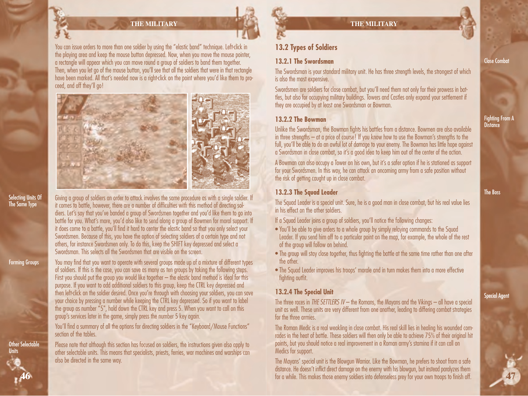### **THE MILITARY**

You can issue orders to more than one soldier by using the "elastic band" technique. Left-click in the playing area and keep the mouse button depressed. Now, when you move the mouse pointer, a rectangle will appear which you can move round a group of soldiers to band them together. Then, when you let go of the mouse button, you'll see that all the soldiers that were in that rectangle have been marked. All that's needed now is a right-click on the point where you'd like them to proceed, and off they'll go!



Giving a group of soldiers an order to attack involves the same procedure as with a single soldier. If it comes to battle, however, there are a number of difficulties with this method of directing soldiers. Let's say that you've banded a group of Swordsmen together and you'd like them to go into battle for you. What's more, you'd also like to send along a group of Bowmen for moral support. If it does come to a battle, you'll find it hard to center the elastic band so that you only select your Swordsmen. Because of this, you have the option of selecting soldiers of a certain type and not others, for instance Swordsmen only. To do this, keep the SHIFT key depressed and select a Swordsman. This selects all the Swordsmen that are visible on the screen.

You may find that you want to operate with several groups made up of a mixture of different types of soldiers. If this is the case, you can save as many as ten groups by taking the following steps. First you should put the group you would like together – the elastic band method is ideal for this purpose. If you want to add additional soldiers to this group, keep the CTRL key depressed and then left-click on the soldier desired. Once you're through with choosing your soldiers, you can save your choice by pressing a number while keeping the CTRL key depressed. So if you want to label the group as number "5", hold down the CTRL key and press 5. When you want to call on this group's services later in the game, simply press the number 5 key again.

You'll find a summary of all the options for directing soldiers in the "Keyboard/Mouse Functions" section of the tables

Please note that although this section has focused on soldiers, the instructions given also apply to other selectable units. This means that specialists, priests, ferries, war machines and warships can also be directed in the same way.

## **13.2 Types of Soldiers**

#### **13.2.1 The Swordsman**

The Swordsman is your standard military unit. He has three strength levels, the strongest of which is also the most expensive.

Swordsmen are soldiers for close combat, but you'll need them not only for their prowess in battles, but also for occupying military buildings. Towers and Castles only expand your settlement if they are occupied by at least one Swordsman or Bowman.

#### **13.2.2 The Bowman**

Unlike the Swordsman, the Bowman fights his battles from a distance. Bowmen are also available in three strengths – at a price of course! If you know how to use the Bowman's strengths to the full, you'll be able to do an awful lot of damage to your enemy. The Bowman has little hope against a Swordsman in close combat, so it's a good idea to keep him out of the center of the action.

A Bowman can also occupy a Tower on his own, but it's a safer option if he is stationed as support for your Swordsmen. In this way, he can attack an oncoming army from a safe position without the risk of getting caught up in close combat.

## **13.2.3 The Squad Leader**

The Squad Leader is a special unit. Sure, he is a good man in close combat, but his real value lies in his effect on the other soldiers.

- If a Squad Leader joins a group of soldiers, you'll notice the following changes:
- You'll be able to give orders to a whole group by simply relaying commands to the Squad Leader. If you send him off to a particular point on the map, for example, the whole of the rest of the group will follow on behind.
- The group will stay close together, thus fighting the battle at the same time rather than one after the other.
- The Squad Leader improves his troops' morale and in turn makes them into a more effective fighting outfit.

### **13.2.4 The Special Unit**

The three races in *THE SETTLERS IV* – the Romans, the Mayans and the Vikings – all have a special unit as well. These units are very different from one another, leading to differing combat strategies for the three armies.

The Roman Medic is a real weakling in close combat. His real skill lies in healing his wounded comrades in the heat of battle. These soldiers will then only be able to achieve 75% of their original hit points, but you should notice a real improvement in a Roman army's stamina if it can call on Medics for support.

The Mayans' special unit is the Blowgun Warrior. Like the Bowman, he prefers to shoot from a safe distance. He doesn't inflict direct damage on the enemy with his blowgun, but instead paralyzes them for a while. This makes those enemy soldiers into defenseless prey for your own troops to finish off. Close Combat

Fighting From A **Distance** 

The Boss

Special Agent

**47**

**Forming Groups** 

Selecting Units Of The Same Type

**46** Other Selectable **Units**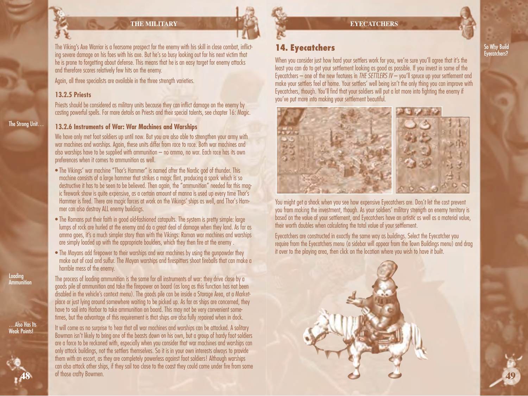

### **THE MILITARY**

The Viking's Axe Warrior is a fearsome prospect for the enemy with his skill in close combat, inflicting severe damage on his foes with his axe. But he's so busy looking out for his next victim that he is prone to forgetting about defense. This means that he is an easy target for enemy attacks and therefore scores relatively few hits on the enemy.

Again, all three specialists are available in the three strength varieties.

#### **13.2.5 Priests**

Priests should be considered as military units because they can inflict damage on the enemy by casting powerful spells. For more details on Priests and their special talents, see chapter 16: Magic.

#### **13.2.6 Instruments of War: War Machines and Warships**

We have only met foot soldiers up until now. But you are also able to strenathen your army with war machines and warships. Again, these units differ from race to race. Both war machines and also warships have to be supplied with ammunition – no ammo, no war. Each race has its own preferences when it comes to ammunition as well.

- The Vikings' war machine "Thor's Hammer" is named after the Nordic god of thunder. This machine consists of a large hammer that strikes a magic flint, producing a spark which is so destructive it has to be seen to be believed. Then again, the "ammunition" needed for this magic firework show is quite expensive, as a certain amount of manna is used up every time Thor's Hammer is fired. There are magic forces at work on the Vikings' ships as well, and Thor's Hammer can also destroy ALL enemy buildings.
- The Romans put their faith in good old-fashioned catapults. The system is pretty simple: large lumps of rock are hurled at the enemy and do a great deal of damage when they land. As far as ammo goes, it's a much simpler story than with the Vikings: Roman war machines and warships are simply loaded up with the appropriate boulders, which they then fire at the enemy .
- The Mayans add firepower to their warships and war machines by using the gunpowder they make out of coal and sulfur. The Mayan warships and firespitters shoot fireballs that can make a horrible mess of the enemy.

The process of loading ammunition is the same for all instruments of war: they drive close by a goods pile of ammunition and take the firepower on board (as long as this function has not been disabled in the vehicle's context menu). The goods pile can be inside a Storage Area, at a Marketplace or just lying around somewhere waiting to be picked up. As far as ships are concerned, they have to sail into Harbor to take ammunition on board. This may not be very convenient sometimes, but the advantage of this requirement is that ships are also fully repaired when in dock.

It will come as no surprise to hear that all war machines and warships can be attacked. A solitary Bowman isn't likely to bring one of the beasts down on his own, but a group of hardy foot soldiers are a force to be reckoned with, especially when you consider that war machines and warships can only attack buildings, not the settlers themselves. So it is in your own interests always to provide them with an escort, as they are completely powerless against foot soldiers! Although warships can also attack other ships, if they sail too close to the coast they could come under fire from some of those crafty Bowmen.

## **14. Eyecatchers**

When you consider just how hard your settlers work for you, we're sure you'll agree that it's the least you can do to get your settlement looking as good as possible. If you invest in some of the Eyecatchers – one of the new features in *THE SETTLERS IV* – you'll spruce up your settlement and make your settlers feel at home. Your settlers' well being isn't the only thing you can improve with Eyecatchers, though. You'll find that your soldiers will put a lot more into fighting the enemy if you've put more into making your settlement beautiful.



You might get a shock when you see how expensive Eyecatchers are. Don't let the cost prevent you from making the investment, though. As your soldiers' military strength on enemy territory is based on the value of your settlement, and Eyecatchers have an artistic as well as a material value, their worth doubles when calculating the total value of your settlement.

Eyecatchers are constructed in exactly the same way as buildings. Select the Eyecatcher you require from the Eyecatchers menu (a sidebar will appear from the Town Buildings menu) and drag it over to the playing area, then click on the location where you wish to have it built.



**Loading** Ammunition

The Strong Unit…

…Also Has Its Weak Points!

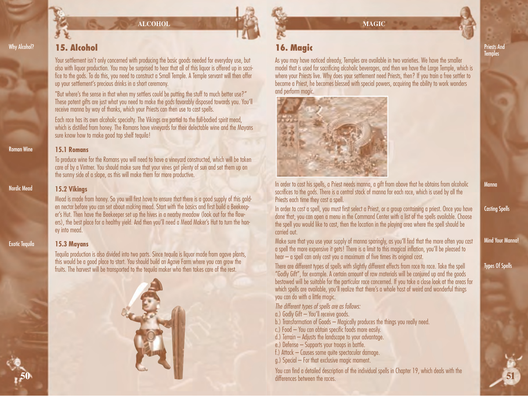

**ALCOHOL**

## Why Alcohol?

## **15. Alcohol**

Your settlement isn't only concerned with producing the basic goods needed for everyday use, but also with liquor production. You may be surprised to hear that all of this liquor is offered up in sacrifice to the gods. To do this, you need to construct a Small Temple. A Temple servant will then offer up your settlement's precious drinks in a short ceremony.

"But where's the sense in that when my settlers could be putting the stuff to much better use?" These potent gifts are just what you need to make the gods favorably disposed towards you. You'll receive manna by way of thanks, which your Priests can then use to cast spells.

Each race has its own alcoholic specialty. The Vikings are partial to the full-bodied spirit mead, which is distilled from honey. The Romans have vineyards for their delectable wine and the Mayans sure know how to make good top shelf tequila!

#### Roman Wine

Nordic Mead

**15.1 Romans**

To produce wine for the Romans you will need to have a vineyard constructed, which will be taken care of by a Vintner. You should make sure that your vines get plenty of sun and set them up on the sunny side of a slope, as this will make them far more productive.

#### **15.2 Vikings**

Mead is made from honey. So you will first have to ensure that there is a good supply of this golden nectar before you can set about making mead. Start with the basics and first build a Beekeeper's Hut. Then have the Beekeeper set up the hives in a nearby meadow (look out for the flowers), the best place for a healthy yield. And then you'll need a Mead Maker's Hut to turn the honey into mead.

### **Exotic Tequila**

**50**

### **15.3 Mayans**

Tequila production is also divided into two parts. Since tequila is liquor made from agave plants, this would be a good place to start. You should build an Agave Farm where you can grow the fruits. The harvest will be transported to the tequila maker who then takes care of the rest.



**MAGIC**

## **16. Magic**

As you may have noticed already, Temples are available in two varieties. We have the smaller model that is used for sacrificing alcoholic beverages, and then we have the Large Temple, which is where your Priests live. Why does your settlement need Priests, then? If you train a free settler to become a Priest, he becomes blessed with special powers, acquiring the ability to work wonders and perform magic.



Priests And **Temples** 

In order to cast his spells, a Priest needs manna, a gift from above that he obtains from alcoholic sacrifices to the gods. There is a central stock of manna for each race, which is used by all the Priests each time they cast a spell.

In order to cast a spell, you must first select a Priest, or a group containing a priest. Once you have done that, you can open a menu in the Command Center with a list of the spells available. Choose the spell you would like to cast, then the location in the playing area where the spell should be carried out.

Make sure that you use your supply of manna sparingly, as you'll find that the more often you cast a spell the more expensive it gets! There is a limit to this magical inflation, you'll be pleased to hear – a spell can only cost you a maximum of five times its original cost.

There are different types of spells with slightly different effects from race to race. Take the spell "Godly Gift", for example. A certain amount of raw materials will be conjured up and the goods bestowed will be suitable for the particular race concerned. If you take a close look at the areas for which spells are available, you'll realize that there's a whole host of weird and wonderful things you can do with a little magic.

*The different types of spells are as follows:*

a.) Godly Gift – You'll receive goods.

b.) Transformation of Goods – Magically produces the things you really need.

- c.) Food You can obtain specific foods more easily.
- d.) Terrain Adjusts the landscape to your advantage.

e.) Defense – Supports your troops in battle.

f.) Attack – Causes some quite spectacular damage.

g.) Special – For that exclusive magic moment.

You can find a detailed description of the individual spells in Chapter 19, which deals with the differences between the races.

Manna

Casting Spells

Mind Your Manna!

Types Of Spells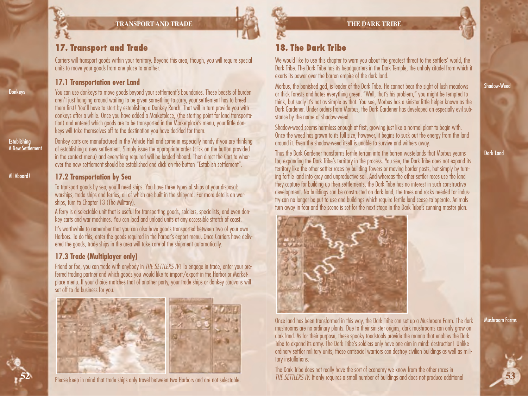**TRANSPORT AND TRADE**



Carriers will transport goods within your territory. Beyond this area, though, you will require special units to move your goods from one place to another.

### **17.1 Transportation over Land**

**Donkeys** 

Establishing A New Settlement

All Aboard!

**52**

You can use donkeys to move goods beyond your settlement's boundaries. These beasts of burden aren't just hanging around waiting to be given something to carry, your settlement has to breed them first! You'll have to start by establishing a Donkey Ranch. That will in turn provide you with donkeys after a while. Once you have added a Marketplace, (the starting point for land transportation) and entered which goods are to be transported in the Marketplace's menu, your little donkeys will take themselves off to the destination you have decided for them.

Donkey carts are manufactured in the Vehicle Hall and come in especially handy if you are thinking of establishing a new settlement. Simply issue the appropriate order (click on the button provided in the context menu) and everything required will be loaded aboard. Then direct the Cart to wherever the new settlement should be established and click on the button "Establish settlement".

### **17.2 Transportation by Sea**

To transport goods by sea, you'll need ships. You have three types of ships at your disposal: warships, trade ships and ferries, all of which are built in the shipyard. For more details on warships, turn to Chapter 13 (The Military).

A ferry is a selectable unit that is useful for transporting goods, soldiers, specialists, and even donkey carts and war machines. You can load and unload units at any accessible stretch of coast.

It's worthwhile to remember that you can also have goods transported between two of your own Harbors. To do this, enter the goods required in the harbor's export menu. Once Carriers have delivered the goods, trade ships in the area will take care of the shipment automatically.

## **17.3 Trade (Multiplayer only)**

Friend or foe, you can trade with anybody in *THE SETTLERS IV*! To engage in trade, enter your preferred trading partner and which goods you would like to import/export in the Harbor or Marketplace menu. If your choice matches that of another party, your trade ships or donkey caravans will set off to do business for you.



Please keep in mind that trade ships only travel between two Harbors and are not selectable.

## **18. The Dark Tribe**

We would like to use this chapter to warn you about the greatest threat to the settlers' world, the Dark Tribe. The Dark Tribe has its headquarters in the Dark Temple, the unholy citadel from which it exerts its power over the barren empire of the dark land.

Morbus, the banished god, is leader of the Dark Tribe. He cannot bear the sight of lush meadows or thick forests and hates everything green. "Well, that's his problem," you might be tempted to think, but sadly it's not as simple as that. You see, Morbus has a sinister little helper known as the Dark Gardener. Under orders from Morbus, the Dark Gardener has developed an especially evil substance by the name of shadow-weed.

Shadow-weed seems harmless enough at first, growing just like a normal plant to begin with. Once the weed has grown to its full size, however, it begins to suck out the energy from the land around it. Even the shadow-weed itself is unable to survive and withers away.

Thus the Dark Gardener transforms fertile terrain into the barren wastelands that Morbus yearns for, expanding the Dark Tribe's territory in the process. You see, the Dark Tribe does not expand its territory like the other settler races by building Towers or moving border posts, but simply by turning fertile land into gray and unproductive soil. And whereas the other settler races use the land they capture for building up their settlements, the Dark Tribe has no interest in such constructive development. No buildings can be constructed on dark land, the trees and rocks needed for industry can no longer be put to use and buildings which require fertile land cease to operate. Animals turn away in fear and the scene is set for the next stage in the Dark Tribe's cunning master plan.



Once land has been transformed in this way, the Dark Tribe can set up a Mushroom Farm. The dark mushrooms are no ordinary plants. Due to their sinister origins, dark mushrooms can only grow on dark land. As for their purpose, these spooky toadstools provide the manna that enables the Dark Tribe to expand its army. The Dark Tribe's soldiers only have one aim in mind: destruction! Unlike ordinary settler military units, these antisocial warriors can destroy civilian buildings as well as military installations.

The Dark Tribe does not really have the sort of economy we know from the other races in *THE SETTLERS IV*. It only requires a small number of buildings and does not produce additional Mushroom Farms

**53**

Shadow-Wee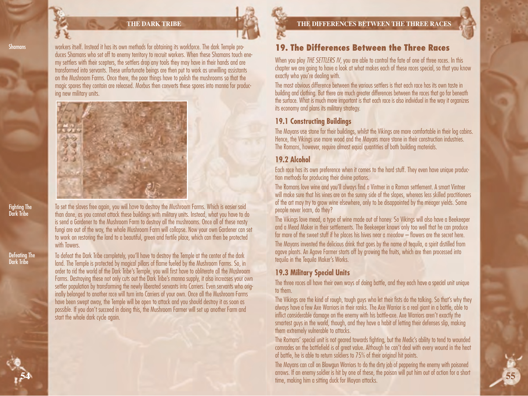#### **THE DARK TRIBE**

workers itself. Instead it has its own methods for obtaining its workforce. The dark Temple produces Shamans who set off to enemy territory to recruit workers. When these Shamans touch enemy settlers with their scepters, the settlers drop any tools they may have in their hands and are transformed into servants. These unfortunate beings are then put to work as unwilling assistants on the Mushroom Farms. Once there, the poor things have to polish the mushrooms so that the magic spores they contain are released. Morbus then converts these spores into manna for producing new military units.



To set the slaves free again, you will have to destroy the Mushroom Farms. Which is easier said than done, as you cannot attack these buildings with military units. Instead, what you have to do is send a Gardener to the Mushroom Farm to destroy all the mushrooms. Once all of these nasty fungi are out of the way, the whole Mushroom Farm will collapse. Now your own Gardener can set to work on restoring the land to a beautiful, green and fertile place, which can then be protected with Towers.

To defeat the Dark Tribe completely, you'll have to destroy the Temple at the center of the dark land. The Temple is protected by magical pillars of flame fueled by the Mushroom Farms. So, in order to rid the world of the Dark Tribe's Temple, you will first have to obliterate all the Mushroom Farms. Destroying these not only cuts out the Dark Tribe's manna supply, it also increases your own settler population by transforming the newly liberated servants into Carriers. Even servants who originally belonged to another race will turn into Carriers of your own. Once all the Mushroom Farms have been swept away, the Temple will be open to attack and you should destroy it as soon as possible. If you don't succeed in doing this, the Mushroom Farmer will set up another Farm and start the whole dark cycle again.

## **19. The Differences Between the Three Races**

When you play *THE SETTLERS IV*, you are able to control the fate of one of three races. In this chapter we are going to have a look at what makes each of these races special, so that you know exactly who you're dealing with.

The most obvious difference between the various settlers is that each race has its own taste in building and clothing. But there are much greater differences between the races that go far beneath the surface. What is much more important is that each race is also individual in the way it organizes its economy and plans its military strategy.

### **19.1 Constructing Buildings**

The Mayans use stone for their buildings, whilst the Vikings are more comfortable in their log cabins. Hence, the Vikings use more wood and the Mayans more stone in their construction industries. The Romans, however, require almost equal quantities of both building materials.

### **19.2 Alcohol**

Each race has its own preference when it comes to the hard stuff. They even have unique production methods for producing their divine potions.

The Romans love wine and you'll always find a Vintner in a Roman settlement. A smart Vintner will make sure that his vines are on the sunny side of the slopes, whereas less skilled practitioners of the art may try to grow wine elsewhere, only to be disappointed by the meager yields. Some people never learn, do they?

The Vikings love mead, a type of wine made out of honey. So Vikings will also have a Beekeeper and a Mead Maker in their settlements. The Beekeeper knows only too well that he can produce far more of the sweet stuff if he places his hives near a meadow – flowers are the secret here.

The Mayans invented the delicious drink that goes by the name of tequila, a spirit distilled from agave plants. An Agave Farmer starts off by growing the fruits, which are then processed into tequila in the Tequila Maker's Works.

## **19.3 Military Special Units**

The three races all have their own ways of doing battle, and they each have a special unit unique to them.

The Vikings are the kind of rough, tough guys who let their fists do the talking. So that's why they always have a few Axe Warriors in their ranks. The Axe Warrior is a real giant in a battle, able to inflict considerable damage on the enemy with his battle-axe. Axe Warriors aren't exactly the smartest guys in the world, though, and they have a habit of letting their defenses slip, making them extremely vulnerable to attacks.

The Romans' special unit is not geared towards fighting, but the Medic's ability to tend to wounded comrades on the battlefield is of great value. Although he can't deal with every wound in the heat of battle, he is able to return soldiers to 75% of their original hit points.

The Mayans can call on Blowgun Warriors to do the dirty job of peppering the enemy with poisoned arrows. If an enemy soldier is hit by one of these, the poison will put him out of action for a short time, making him a sitting duck for Mayan attacks. **55**

#### Fighting The Dark Tribe

Shamans

#### Defeating The Dark Tribe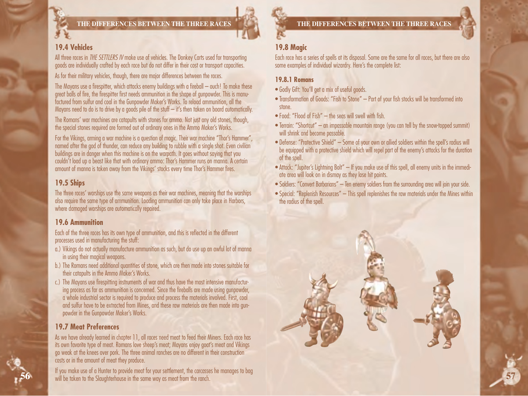

### **THE DIFFERENCES BETWEEN THE THREE RACES**

## **19.4 Vehicles**

All three races in *THE SETTLERS IV* make use of vehicles. The Donkey Carts used for transporting goods are individually crafted by each race but do not differ in their cost or transport capacities.

As for their military vehicles, though, there are major differences between the races.

The Mayans use a firespitter, which attacks enemy buildings with a fireball – ouch! To make these great balls of fire, the firespitter first needs ammunition in the shape of gunpowder. This is manufactured from sulfur and coal in the Gunpowder Maker's Works. To reload ammunition, all the Mayans need to do is to drive by a goods pile of the stuff  $-$  it's then taken on board automatically.

The Romans' war machines are catapults with stones for ammo. Not just any old stones, though, the special stones required are formed out of ordinary ones in the Ammo Maker's Works.

For the Vikings, arming a war machine is a question of magic. Their war machine "Thor's Hammer", named after the god of thunder, can reduce any building to rubble with a single shot. Even civilian buildings are in danger when this machine is on the warpath. It goes without saying that you couldn't load up a beast like that with ordinary ammo: Thor's Hammer runs on manna. A certain amount of manna is taken away from the Vikings' stocks every time Thor's Hammer fires.

## **19.5 Ships**

The three races' warships use the same weapons as their war machines, meaning that the warships also require the same type of ammunition. Loading ammunition can only take place in Harbors, where damaged warships are automatically repaired.

### **19.6 Ammunition**

Each of the three races has its own type of ammunition, and this is reflected in the different processes used in manufacturing the stuff:

- a.) Vikings do not actually manufacture ammunition as such, but do use up an awful lot of manna in using their magical weapons.
- b.) The Romans need additional quantities of stone, which are then made into stones suitable for their catapults in the Ammo Maker's Works.
- c.) The Mayans use firespitting instruments of war and thus have the most intensive manufacturing process as far as ammunition is concerned. Since the fireballs are made using gunpowder, a whole industrial sector is required to produce and process the materials involved. First, coal and sulfur have to be extracted from Mines, and these raw materials are then made into gunpowder in the Gunpowder Maker's Works.

### **19.7 Meat Preferences**

As we have already learned in chapter 11, all races need meat to feed their Miners. Each race has its own favorite type of meat. Romans love sheep's meat; Mayans enjoy goat's meat and Vikings go weak at the knees over pork. The three animal ranches are no different in their construction costs or in the amount of meat they produce.

If you make use of a Hunter to provide meat for your settlement, the carcasses he manages to bag **<sup>56</sup>** will be taken to the Slaughterhouse in the same way as meat from the ranch.

## **19.8 Magic**

Each race has a series of spells at its disposal. Some are the same for all races, but there are also some examples of individual wizardry. Here's the complete list:

#### **19.8.1 Romans**

- Godly Gift: You'll get a mix of useful goods.
- Transformation of Goods: "Fish to Stone" Part of your fish stocks will be transformed into stone.
- Food: "Flood of Fish" the seas will swell with fish.
- Terrain: "Shortcut" an impassable mountain range (you can tell by the snow-topped summit) will shrink and become passable.
- Defense: "Protective Shield" Some of your own or allied soldiers within the spell's radius will be equipped with a protective shield which will repel part of the enemy's attacks for the duration of the spell.
- Attack: "Jupiter's Lightning Bolt" If you make use of this spell, all enemy units in the immediate area will look on in dismay as they lose hit points.
- Soldiers: "Convert Barbarians" Ten enemy soldiers from the surrounding area will join your side.
- Special: "Replenish Resources" This spell replenishes the raw materials under the Mines within the radius of the spell.

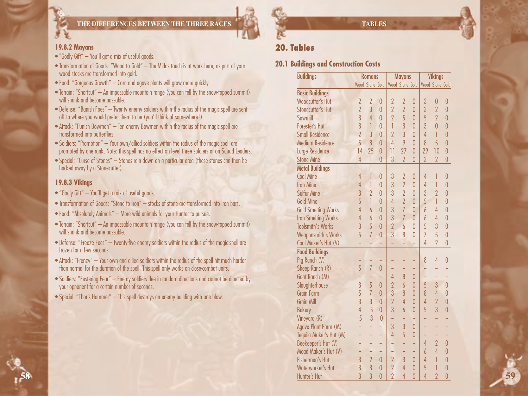### **THE DIFFERENCES BETWEEN THE THREE RACES**

## **19.8.2 Mayans**

- "Godly Gift" You'll get a mix of useful goods.
- Transformation of Goods: "Wood to Gold" The Midas touch is at work here, as part of your wood stocks are transformed into gold.
- Food: "Gorgeous Growth" Corn and agave plants will grow more quickly.
- Terrain: "Shortcut" An impassable mountain range (you can tell by the snow-topped summit) will shrink and become passable.
- Defense: "Banish Foes" Twenty enemy soldiers within the radius of the magic spell are sent off to where you would prefer them to be (you'll think of somewhere!).
- Attack: "Punish Bowmen" Ten enemy Bowmen within the radius of the magic spell are transformed into butterflies.
- Soldiers: "Promotion" Your own/allied soldiers within the radius of the magic spell are promoted by one rank. Note: this spell has no effect on level three soldiers or on Squad Leaders.
- Special: "Curse of Stones" Stones rain down on a particular area (these stones can then be hacked away by a Stonecutter).

#### **19.8.3 Vikings**

**58**

- "Godly Gift" You'll get a mix of useful goods.
- Transformation of Goods: "Stone to Iron" stocks of stone are transformed into iron bars.
- Food: "Absolutely Animals" More wild animals for your Hunter to pursue.
- Terrain: "Shortcut" An impassable mountain range (you can tell by the snow-topped summit) will shrink and become passable.
- Defense: "Freeze Foes" Twenty-five enemy soldiers within the radius of the magic spell are frozen for a few seconds.
- Attack: "Frenzy" Your own and allied soldiers within the radius of the spell hit much harder than normal for the duration of the spell. This spell only works on close-combat units.
- Soldiers: "Festering Fear" Enemy soldiers flee in random directions and cannot be directed by your opponent for a certain number of seconds.
- Special: "Thor's Hammer" This spell destroys an enemy building with one blow.

**TABLES**

## **20. Tables**

## **20.1 Buildings and Construction Costs**

| <b>Buildings</b>           |                 | <b>Romans</b>  |                |                | <b>Mayans</b>   |                |                | <b>Vikings</b>  |                |  |  |    |
|----------------------------|-----------------|----------------|----------------|----------------|-----------------|----------------|----------------|-----------------|----------------|--|--|----|
|                            | Wood Stone Gold |                |                |                | Wood Stone Gold |                |                | Wood Stone Gold |                |  |  |    |
| <b>Basic Buildings</b>     |                 |                |                |                |                 |                |                |                 |                |  |  |    |
| Woodcutter's Hut           | $\overline{2}$  | $\overline{2}$ | $\theta$       | $\overline{2}$ | $\overline{2}$  | $\overline{0}$ | 3              | $\overline{0}$  | $\overline{0}$ |  |  |    |
| Stonecutter's Hut          | $\overline{2}$  | 3              | $\overline{0}$ | $\overline{2}$ | $\overline{2}$  | $\overline{0}$ | 3              | $\overline{2}$  | $\overline{0}$ |  |  |    |
| Sawmill                    | 3               | $\overline{4}$ | $\theta$       | $\overline{2}$ | 5               | $\overline{0}$ | 5              | $\overline{2}$  | $\overline{0}$ |  |  |    |
| Forester's Hut             | 3               | $\overline{1}$ | $\theta$       | T              | 3               | $\overline{0}$ | 3              | $\overline{0}$  | $\overline{0}$ |  |  |    |
| <b>Small Residence</b>     | $\overline{2}$  | 3              | $\overline{0}$ | $\overline{2}$ | $\overline{3}$  | $\overline{0}$ | $\overline{4}$ | $\overline{1}$  | $\overline{0}$ |  |  |    |
| <b>Medium Residence</b>    | 5               | $\delta$       | $\theta$       | $\overline{4}$ | 9               | $\overline{0}$ | 8              | 5               | $\overline{0}$ |  |  |    |
| <b>Large Residence</b>     | 14              | 25             | $\overline{0}$ | 11             | 27              | $\overline{0}$ | 29             | 10              | $\overline{0}$ |  |  |    |
| <b>Stone Mine</b>          | $\overline{4}$  | 1              | $\theta$       | $\overline{3}$ | $\overline{2}$  | 0              | 3              | $\overline{2}$  | $\overline{0}$ |  |  |    |
| <b>Metal Buildings</b>     |                 |                |                |                |                 |                |                |                 |                |  |  |    |
| <b>Coal Mine</b>           | 4               | 1              | $\overline{0}$ | 3              | $\overline{2}$  | 0              | 4              | 1               | $\overline{0}$ |  |  |    |
| <b>Iron Mine</b>           | 4               | 1              | $\overline{0}$ | 3              | $\overline{2}$  | $\overline{0}$ | 4              | 1               | $\overline{0}$ |  |  |    |
| <b>Sulfur Mine</b>         | 3               | $\overline{2}$ | $\overline{0}$ | 3              | $\overline{2}$  | $\overline{0}$ | 3              | $\overline{2}$  | $\overline{0}$ |  |  |    |
| <b>Gold Mine</b>           | 5               | 1              | $\theta$       | 4              | $\overline{2}$  | $\overline{0}$ | 5              | 1               | $\overline{0}$ |  |  |    |
| <b>Gold Smelting Works</b> | 4               | $\overline{6}$ | $\theta$       | 3              | $\overline{7}$  | $\overline{0}$ | 6              | 4               | $\overline{0}$ |  |  |    |
| <b>Iron Smelting Works</b> | 4               | $\overline{6}$ | $\theta$       | 3              | $\overline{7}$  | $\overline{0}$ | $\overline{6}$ | $\overline{4}$  | $\overline{0}$ |  |  |    |
| <b>Toolsmith's Works</b>   | 3               | 5              | $\theta$       | $\overline{2}$ | $\overline{6}$  | $\overline{0}$ | 5              | 3               | $\overline{0}$ |  |  |    |
| <b>Weaponsmith's Works</b> | 5               | $\overline{7}$ | $\overline{0}$ | 3              | 8               | $\overline{0}$ | $\overline{1}$ | 5               | $\overline{0}$ |  |  |    |
| Coal Maker's Hut (V)       |                 |                |                |                |                 |                | 4              | $\overline{2}$  | $\overline{0}$ |  |  |    |
| <b>Food Buildings</b>      |                 |                |                |                |                 |                |                |                 |                |  |  |    |
| Pig Ranch (V)              |                 |                |                |                |                 |                | 8              | $\overline{4}$  | 0              |  |  |    |
| Sheep Ranch (R)            | 5               | $\overline{7}$ | $\overline{0}$ |                |                 |                | -              |                 |                |  |  |    |
| Goat Ranch (M)             |                 |                |                | $\overline{4}$ | 8               | $\overline{0}$ | ÷              | ÷               |                |  |  |    |
| Slaughterhouse             | 3               | 5              | $\theta$       | $\overline{2}$ | 6               | $\overline{0}$ | 5              | 3               | $\overline{0}$ |  |  |    |
| <b>Grain Farm</b>          | 5               | $\overline{7}$ | $\overline{0}$ | 3              | 8               | $\overline{0}$ | 8              | $\overline{4}$  | $\overline{0}$ |  |  |    |
| <b>Grain Mill</b>          | 3               | $\overline{3}$ | $\theta$       | $\overline{2}$ | 4               | $\overline{0}$ | 4              | $\overline{2}$  | 0              |  |  |    |
| <b>Bakery</b>              | 4               | 5              | $\theta$       | 3              | $\overline{b}$  | $\overline{0}$ | 5              | $\overline{3}$  | $\overline{0}$ |  |  |    |
| Vineyard (R)               | 5               | $\overline{3}$ | $\overline{0}$ | ÷,             |                 |                | ÷              |                 |                |  |  |    |
| Agave Plant Farm (M)       |                 | ÷              | ц              | 3              | 3               | 0              | ÷              | ÷               |                |  |  |    |
| Tequila Maker's Hut (M)    |                 |                | ÷              | $\overline{4}$ | 5               | $\overline{0}$ | ÷              | ÷               |                |  |  |    |
| Beekeeper's Hut (V)        |                 | ÷              | ÷              | u,             | ÷               | ÷              | 4              | $\overline{2}$  | $\theta$       |  |  |    |
| Mead Maker's Hut (V)       |                 |                | ۰              | -              |                 | ۰              | 6              | $\overline{4}$  | $\overline{0}$ |  |  |    |
| <b>Fisherman's Hut</b>     | 3               | $\overline{2}$ | $\theta$       | $\overline{2}$ | 3               | $\theta$       | 4              | 1               | $\overline{0}$ |  |  |    |
| Waterworker's Hut          | 3               | 3              | $\theta$       | $\overline{2}$ | 4               | $\overline{0}$ | 5              | 1               | 0              |  |  |    |
| Hunter's Hut               | 3               | $\overline{3}$ | 0              | $\overline{2}$ | 4               | 0              | 4              | $\overline{2}$  | 0              |  |  | 59 |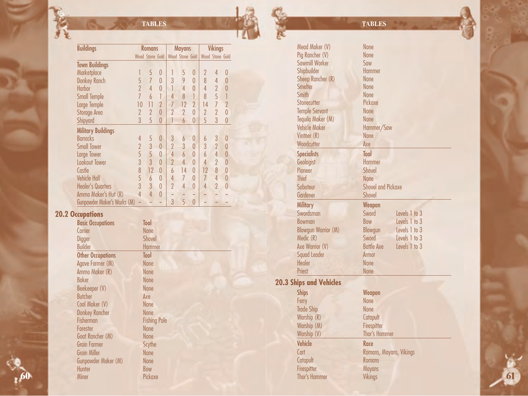$R_{\rm{c}}$ 

飛

| <b>Buildings</b>            |                | <b>Romans</b>   |                |                          | <b>Mayans</b>  |                | <b>Vikings</b> |                 |                |
|-----------------------------|----------------|-----------------|----------------|--------------------------|----------------|----------------|----------------|-----------------|----------------|
|                             |                | Wood Stone Gold |                | <b>Wood Stone Gold</b>   |                |                |                | Wood Stone Gold |                |
| <b>Town Buildings</b>       |                |                 |                |                          |                |                |                |                 |                |
| Marketplace                 |                | 5               | $\theta$       |                          | 5              | 0              | 2              | 4               | 0              |
| <b>Donkey Ranch</b>         | 5              | $\overline{7}$  | $\theta$       | 3                        | 9              | $\overline{0}$ | 8              | 4               | 0              |
| Harbor                      | $\overline{2}$ | 4               | $\theta$       | 1                        | 4              | 0              | 4              | $\overline{2}$  | 0              |
| <b>Small Temple</b>         | $\overline{1}$ | 6               | 1              | 4                        | 8              |                | 8              | 5               |                |
| Large Temple                | 10             | 11              | $\overline{2}$ | $\overline{7}$           | 12             | $\overline{2}$ | 14             | 7               | $\overline{2}$ |
| <b>Storage Area</b>         | $\overline{2}$ | $\overline{2}$  | $\overline{0}$ | $\overline{2}$           | $\overline{2}$ | $\overline{0}$ | $\overline{2}$ | $\overline{2}$  | $\overline{0}$ |
| Shipyard                    | 3              | 5               | 0              |                          | $\overline{6}$ | 0              | 5              | $\overline{3}$  | 0              |
| <b>Military Buildings</b>   |                |                 |                |                          |                |                |                |                 |                |
| <b>Barracks</b>             | 4              | 5               | $\theta$       | 3                        | 6              | 0              | 6              | 3               | 0              |
| <b>Small Tower</b>          | $\overline{2}$ | 3               | $\theta$       | $\overline{\phantom{a}}$ | 3              | 0              | 3              | $\overline{2}$  | $\theta$       |
| Large Tower                 | 5              | 5               | 0              | 4                        | $\overline{6}$ | $\overline{0}$ | $\overline{b}$ | 4               | $\overline{0}$ |
| <b>Lookout Tower</b>        | 3              | 3               | $\overline{0}$ | $\overline{2}$           | $\overline{4}$ | $\overline{0}$ | 4              | $\overline{2}$  | 0              |
| Castle                      | 8              | 12              | $\theta$       | 6                        | 14             | $\overline{0}$ | 12             | 8               | $\overline{0}$ |
| <b>Vehicle Hall</b>         | 5              | 6               | 0              | 4                        | $\overline{7}$ | 0              | $\overline{1}$ | 4               | 0              |
| <b>Healer's Quarters</b>    | 3              | 3               | 0              | $\overline{\phantom{a}}$ | 4              | $\overline{0}$ | 4              | $\overline{2}$  | N              |
| Ammo Maker's Hut (R)        | 4              | 4               | $\Omega$       |                          |                |                |                |                 |                |
| Gunpowder Maker's Works (M) |                |                 |                | 3                        | 5              | $\overline{0}$ |                |                 |                |
| . <b>. .</b>                |                |                 |                |                          |                |                |                |                 |                |

## **20.2 Occupations**

| <b>Basic Occupations</b> | Tool                |  |
|--------------------------|---------------------|--|
| Carrier                  | <b>None</b>         |  |
| Digger                   | <b>Shovel</b>       |  |
| <b>Builder</b>           | <b>Hammer</b>       |  |
| <b>Other Occupations</b> | Tool                |  |
| Agave Farmer (M)         | <b>None</b>         |  |
| Ammo Maker (R)           | <b>None</b>         |  |
| <b>Baker</b>             | <b>None</b>         |  |
| Beekeeper (V)            | <b>None</b>         |  |
| <b>Butcher</b>           | Axe                 |  |
| Coal Maker (V)           | <b>None</b>         |  |
| <b>Donkey Rancher</b>    | <b>None</b>         |  |
| Fisherman                | <b>Fishing Pole</b> |  |
| Forester                 | <b>None</b>         |  |
| Goat Rancher (M)         | <b>None</b>         |  |
| <b>Grain Farmer</b>      | Scythe              |  |
| <b>Grain Miller</b>      | <b>None</b>         |  |
| Gunpowder Maker (M)      | <b>None</b>         |  |
| Hunter                   | Bow                 |  |
| Miner                    | Pickaxe             |  |

## Mead Maker (V) None<br>Pia Rancher (V) None Pig Rancher (V) None<br>Sawmill Worker Saw Sawmill Worker<br>Shipbuilder Saw<br>Shipbuilder Hammer Shipbuilder Hamm<br>Sheep Rancher (R) Mone Sheep Rancher (R) None<br>Smelter None Smelter None<br>Smith None Smith None<br>Stonecutter Pickaxe Stonecutter Temple Servant None<br>Teavila Maker (M) None Tequila Maker (M)<br>Vehicle Maker Hammer/Saw Vintner (R) None<br>Woodcutter Axe Woodcutter Specialists Tool<br>Geologist Hammer Geologist Hammer<br>Pioneer Shovel Pioneer Shove<br>Thief None Thief<br>Saboteur Shovel and Pickaxe<br>Shovel Gardener Military Weapon<br>Swordsman Sword Swordsman Sword Levels 1 to 3<br>
Bow Row Levels 1 to 3 Bow<br>Blowgun Levels 1 to 3 Blowgun Warrior (M) Blowgun<br>
Medic (R) Sword Sword Levels 1 to 3<br>Battle Axe Levels 1 to 3 Axe Warrior (V) Squad Leader **Armor** Healer None<br>Priest None Priest **20.3 Ships and Vehicles** Ships Weapon<br>Ferry None Ferry None<br>Trade Ship None Trade Ship None Warship  $(R)$ Warship (M) Firespitter Warship (V) Thor's Hammer Vehicle Race<br>Cart Roma Romans, Mayans, Vikings<br>Romans Catapult Romans<br>Firespitter Mayans Firespitter **TABLES**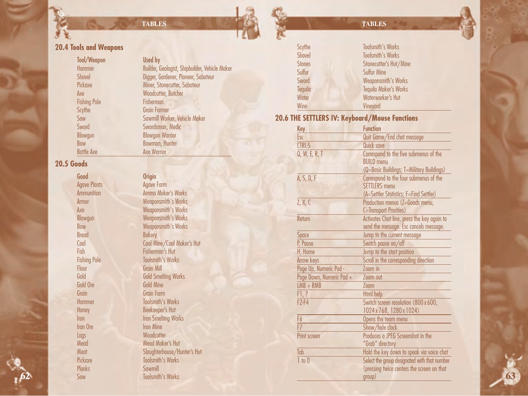## **TABLES**

## **20.4 Tools and Weapons**

| <b>Tool/Weapon</b>  | Used by                                        |
|---------------------|------------------------------------------------|
| Hammer              | Builder, Geologist, Shipbuilder, Vehicle Maker |
| <b>Shovel</b>       | Digger, Gardener, Pioneer, Saboteur            |
| Pickaxe             | Miner, Stonecutter, Saboteur                   |
| Axe                 | Woodcutter, Butcher                            |
| <b>Fishing Pole</b> | Fisherman                                      |
| Scythe              | <b>Grain Farmer</b>                            |
| Saw                 | Sawmill Worker, Vehicle Maker                  |
| Sword               | Swordsman, Medic                               |
| Blowgun             | <b>Blowgun Warrior</b>                         |
| Bow                 | Bowman, Hunter                                 |
| <b>Battle Axe</b>   | <b>Axe Warrior</b>                             |

## **20.5 Goods**

| Good                | <b>Origin</b>               |
|---------------------|-----------------------------|
| Agave Plants        | <b>Agave Farm</b>           |
| <b>Ammunition</b>   | <b>Ammo Maker's Works</b>   |
| Armor               | <b>Weaponsmith's Works</b>  |
| Ахе                 | <b>Weaponsmith's Works</b>  |
| Blowgun             | <b>Weaponsmith's Works</b>  |
| Bow                 | <b>Weaponsmith's Works</b>  |
| <b>Bread</b>        | <b>Bakery</b>               |
| Coal                | Coal Mine/Coal Maker's Hut  |
| Fish                | <b>Fisherman's Hut</b>      |
| <b>Fishing Pole</b> | <b>Toolsmith's Works</b>    |
| Flour               | <b>Grain Mill</b>           |
| Gold                | <b>Gold Smelting Works</b>  |
| Gold Ore            | Gold Mine                   |
| Grain               | <b>Grain Farm</b>           |
| Hammer              | <b>Toolsmith's Works</b>    |
| Honey               | Beekeeper's Hut             |
| Iron                | <b>Iron Smelting Works</b>  |
| Iron Ore            | <b>Iron Mine</b>            |
| Logs                | Woodcutter                  |
| Mead                | <b>Mead Maker's Hut</b>     |
| Meat                | Slaughterhouse/Hunter's Hut |
| Pickaxe             | <b>Toolsmith's Works</b>    |
| Planks              | Sawmill                     |
| Saw                 | <b>Toolsmith's Works</b>    |

| <b>Origin</b>               |
|-----------------------------|
| <b>Agave Farm</b>           |
| <b>Ammo Maker's Works</b>   |
| <b>Weaponsmith's Works</b>  |
| <b>Weaponsmith's Works</b>  |
| <b>Weaponsmith's Works</b>  |
| <b>Weaponsmith's Works</b>  |
| <b>Bakery</b>               |
| Coal Mine/Coal Maker's Hut  |
| <b>Fisherman's Hut</b>      |
| <b>Toolsmith's Works</b>    |
| <b>Grain Mill</b>           |
| <b>Gold Smelting Works</b>  |
| <b>Gold Mine</b>            |
| <b>Grain Farm</b>           |
| <b>Toolsmith's Works</b>    |
| Beekeeper's Hut             |
| <b>Iron Smelting Works</b>  |
| <b>Iron Mine</b>            |
| Woodcutter                  |
| <b>Mead Maker's Hut</b>     |
| Slaughterhouse/Hunter's Hut |
| <b>Toolsmith's Works</b>    |
| Sawmill                     |
| <b>Toolsmith's Works</b>    |

## Scythe Toolsmith's Works Shovel Toolsmith's Works<br>Stones Stonecutter's Hut/ Stones Stonecutter's Hut/Mine<br>Sulfur Sulfur Mine Sulfur Sulfur Aine<br>Sword Weaponsmit Weaponsmith's Works Tequila Tequila Maker's Works Waterworker's Hut Wine **Vineyard 20.6 THE SETTLERS IV: Keyboard/Mouse Functions** Key Function Esc Quit Game/End chat message<br>
CTRL-S Quick save CTRL-S Quick save<br>
Q, W, E, R, T Correspond Correspond to the five submenus of the BUILD menu (Q=Basic Buildings; T=Military Buildings) A, S, D, F Correspond to the four submenus of the **SETTLERS** menu (A=Settler Statistics; F=Find Settler) Z, X, C Production menus (Z=Goods menu, C=Transport Prorities) Return **Activates Chat line, press the key again to** send the message. Esc cancels message. Space Jump to the current message<br>
P. Pause Switch pause on/off Switch pause on/off H, Home Jump to the start position<br>Arrow keys Scroll in the corresponding Scroll in the corresponding direction Page Up, Numeric Pad - Zoom in<br>Page Down, Numeric Pad + Zoom out Page Down, Numeric Pad + LMB + RMB Zoom F1, ? Html help<br>F2-F4 Switch scr Switch screen resolution (800 x 600, 1024 x 768, 1280 x 1024) F6 Opens the team menu<br>F7 Show/hide clock Show/hide clock **Print screen** Produces a JPEG Screenshot in the "Grab" directory Tab Hold the key down to speak via voice chat<br>
The O Select the group designated with that number Select the group designated with that number (pressing twice centers the screen on that group) **63 TABLES**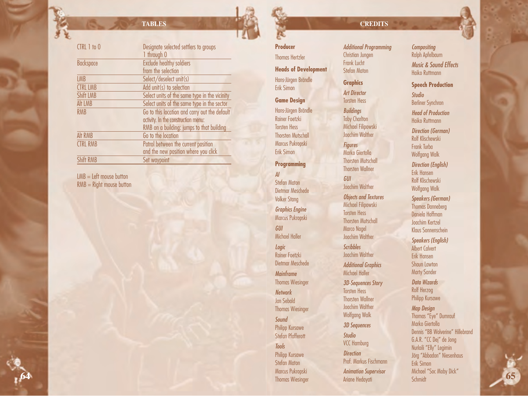## **TABLES**

| CTRL 1 to 0      | Designate selected settlers to groups         |
|------------------|-----------------------------------------------|
|                  | 1 through 0                                   |
|                  |                                               |
| <b>Backspace</b> | <b>Exclude healthy soldiers</b>               |
|                  | from the selection                            |
| <b>LMB</b>       | Select/deselect unit(s)                       |
| <b>CTRL LMB</b>  | Add unit(s) to selection                      |
| Shift LMB        | Select units of the same type in the vicinity |
| Alt LMB          | Select units of the same type in the sector   |
| <b>RMB</b>       | Go to this location and carry out the default |
|                  | activity. In the construction menu:           |
|                  | RMB on a building: jumps to that building     |
| <b>Alt RMB</b>   | Go to the location                            |
| <b>CTRL RMB</b>  | Patrol between the current position           |
|                  | and the new position where you click          |
| <b>Shift RMB</b> | Set waypoint                                  |
|                  |                                               |

 $LMB = Left$  mouse button RMB = Right mouse button

 $\sqrt{2}$ 

**64**

## **Producer**

Thomas Hertzler **Heads of Development** Hans-Jürgen Brändle

Erik Simon

**Game Design** Hans-Jürgen Brändle Rainer Foetzki

Torsten Hess Thorsten Mutschall Marcus Pukropski Erik Simon

**Programming**

*AI* Stefan Maton Dietmar Meschede Volker Stang *Graphics Engine* Marcus Pukropski *GUI* Michael Haller *Logic* Rainer Foetzki Dietmar Meschede *Mainframe* Thomas Wiesinger *Network* Jan Sebald Thomas Wiesinger

*Sound* Philipp Kursawe Stefan Pfafferott *Tools* Philipp Kursawe Stefan Maton Marcus Pukropski Thomas Wiesinger

## **CREDITS**

*Additional Programming* Christian Jungen Frank Lucht Stefan Maton

## **Graphics** *Art Director*

Torsten Hess *Buildings* **Toby Charlton** Michael Filipowski Joachim Walther

*Figures* Marko Giertolla Thorsten Mutschall Thorsten Wallner *GUI* Joachim Walther *Objects and Textures* Michael Filipowski Torsten Hess Thorsten Mutschall Marco Nagel Joachim Walther

*Scribbles* Joachim Walther

*Additional Graphics* Michael Haller

*3D-Sequences Story* Torsten Hess Thorsten Wallner Joachim Walther Wolfgang Walk

*3D Sequences Studio*

VCC Hamburg

*Direction* Prof. Markus Fischmann

*Animation Supervisor* Ariane Hedayati

*Compositing* Ralph Apfelbaum *Music & Sound Effects* Haiko Ruttmann

**Speech Production**

*Studio* Berliner Synchron

*Head of Production* Haiko Ruttmann

*Direction (German)* Rolf Klischewski Frank Turba Wolfgang Walk *Direction (English)* Erik Hansen Rolf Klischewski Wolfgang Walk *Speakers (German)* Thomas Danneberg Daniela Hoffman Joachim Kertzel Klaus Sonnenschein

*Speakers (English)* Albert Calvert Erik Hansen Shaun Lawton Marty Sander

*Data Wizards* Rolf Herzog Philipp Kursawe

*Map Design* Thomas "Eye" Dumrauf Marko Giertolla Dennis "BB Wolverine" Hillebrand G.A.R. "CC Dej" de Jong Nurlaili "Elly" Legimin Jörg "Abbadon" Niesenhaus Erik Simon Michael "Soc Moby Dick" Schmidt **65**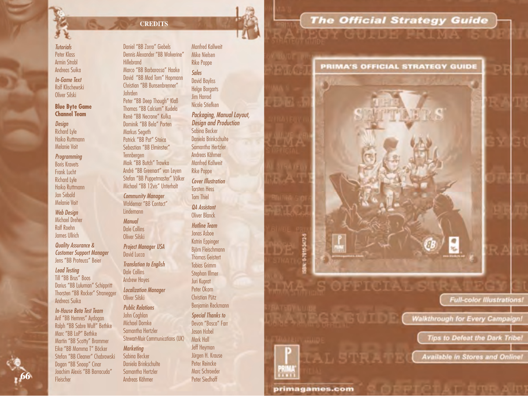#### *Tutorials* Peter Klass Armin Strobl Andreas Suika

*In-Game Text* Rolf Klischewski Oliver Silski

#### **Blue Byte Game Channel Team**

*Design* Richard Lyle Haiko Ruttmann Melanie Voit

*Programming* Boris Kravets Frank Lucht Richard Lyle Haiko Ruttmann Jan Sebald Melanie Voit

*Web Design* Michael Dreher Ralf Roehn James Ullrich

*Quality Assurance & Customer Support Manager* Jens "BB Proteuss" Beier

*Lead Testing* Till "BB Brus" Boos Darius "BB Luluman" Schippritt Thorsten "BB Rocker" Stranegger Andreas Suika

*In-House Beta Test Team* Arif "BB Hemres" Aydogan Ralph "BB Sabre Wulf" Bethke Marc "BB LoP" Bethke Martin "BB Scotty" Brammer Eike "BB Momma T" Böcker Stefan "BB Cleaner" Chabrowski Dogan "BB Snoop" Cinar Joachim Alexis "BB Barracuda" Fleischer **66** Peter Siedhoff **Fleischer** Peter Siedhoff **666 Peter Siedhoff 666 Peter Siedhoff** 

Daniel "BB Zorro" Giebels Dennis Alexander "BB Wolverine" Hillebrand Marco "BB Barbarossa" Haake David "BB Mad Tom" Hopmann Christian "BB Bunsenbrenner" Johrden Peter "BB Deep Though" Klaß Thomas "BB Calcium" Kudela René "BB Necrone" Kulka Dominik "BB Bela" Porten Markus Segeth Patrick "BB Pat" Stoica Sebastian "BB Elminster" **Tennbergen** Maik "BB Butch" Trawka André "BB Greenart" van Leyen Stefan "BB Puppetmaster" Völker Michael "BB 12vis" Unterhalt

**CREDITS**

*Community Manager* Waldemar "BB Contact" **Lindemann** 

*Manual* Dale Collins Oliver Silski

#### *Project Manager USA* David Lucca

*Translation to English*

Dale Collins Andrew Hayes *Localization Manager*

Oliver Silski

*Public Relations* John Coghlan Michael Domke Samantha Hertzler Stewart-Muir Communications (UK)

#### *Marketing* Sabina Becker Daniela Brinkschulte Samantha Hertzler Andreas Kähmer

*Packaging, Manual Layout, Design and Production* Sabina Becker Daniela Brinkschulte Samantha Hertzler Andreas Kähmer Manfred Kallweit Rike Poppe *Cover Illustration* Torsten Hess Tom Thiel *QA Assistant*  Oliver Blanck *Hotline Team* Jonas Asboe Katrin Eppinger Björn Fleischmann Thomas Geistert Tobias Grimm Stephan Illmer Juri Kuprat Peter Okorn Christian Pütz Benjamin Reckmann *Special Thanks to* Devon "Bosco" Farr Jason Habel Mark Hall Jeff Heyman Jürgen H. Krause Peter Reincke Marc Schroeder

225325

primagames.com

SOPPICI

TMA-

Manfred Kallweit Mike Nielsen Rike Poppe *Sales* David Bayliss Helge Borgarts Jim Harrod Nicole Stiefken

## **The Official Strategy Guide CERTIFICANT HIM I M**

#### **PRIMA'S OFFICIAL STRATEGY GUIDE**

**Full-color Illustrations!** 

Waikthrough for Every Campaign!

原光

**Tips to Defeat the Dark Tribe** 

**Available in Stores and Online!**